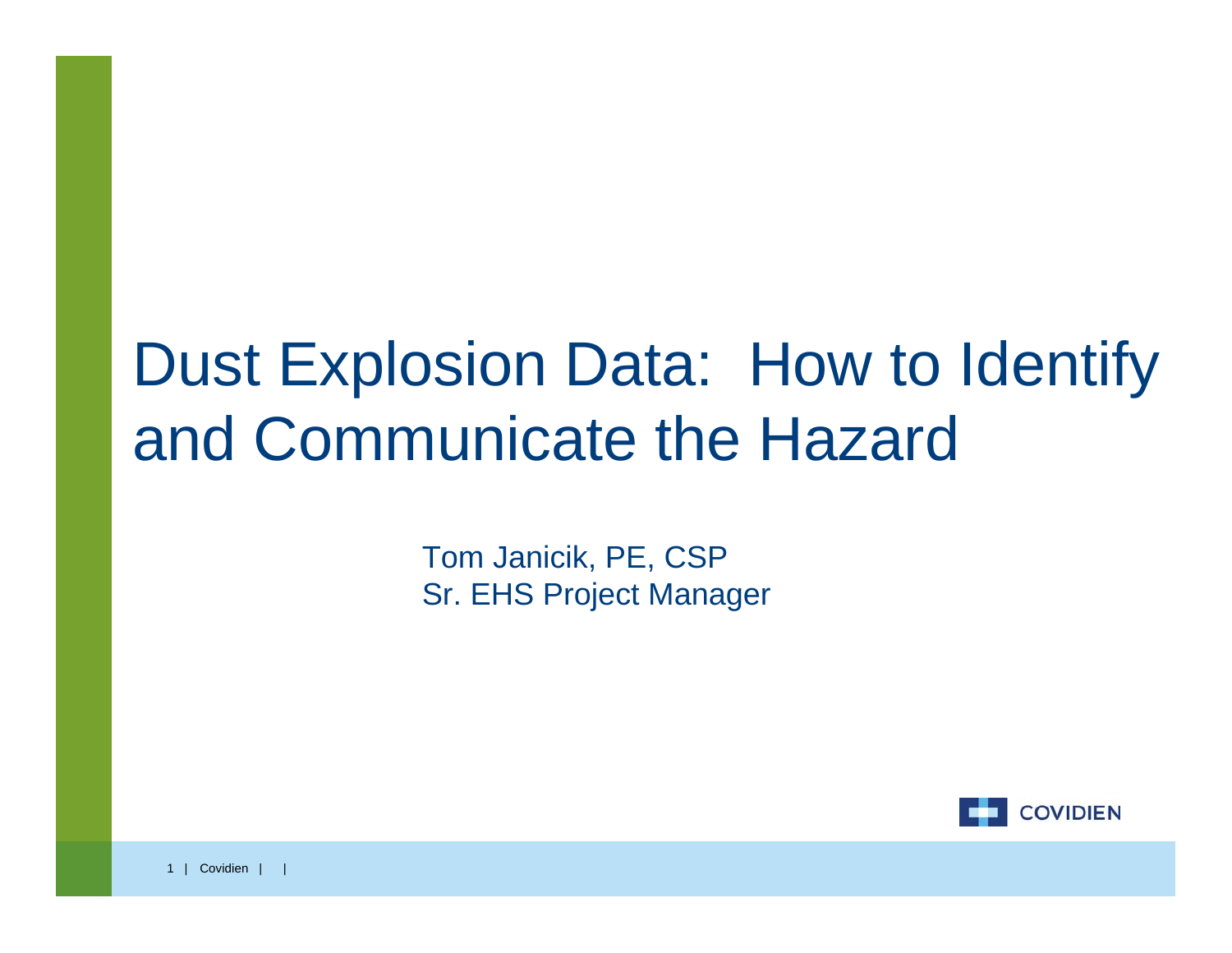#### Dust Explosion Data: How to Identify and Communicate the Hazard

Tom Janicik, PE, CSP Sr. EHS Project Manager

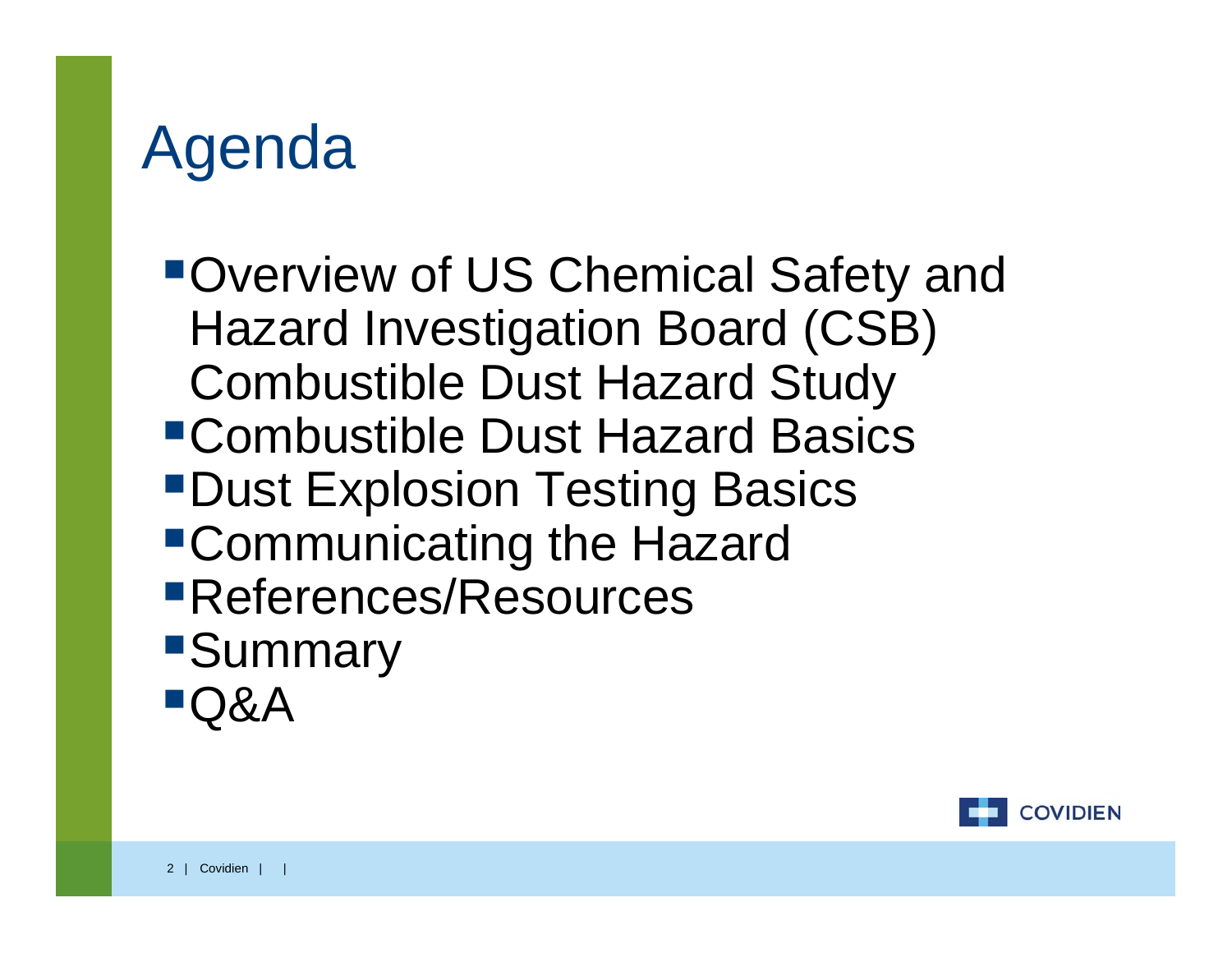#### Agenda

Overview of US Chemical Safety and Hazard Investigation Board (CSB) Combustible Dust Hazard Study Combustible Dust Hazard Basics **"Dust Explosion Testing Basics"** Communicating the Hazard References/Resources **Summary** Q&A

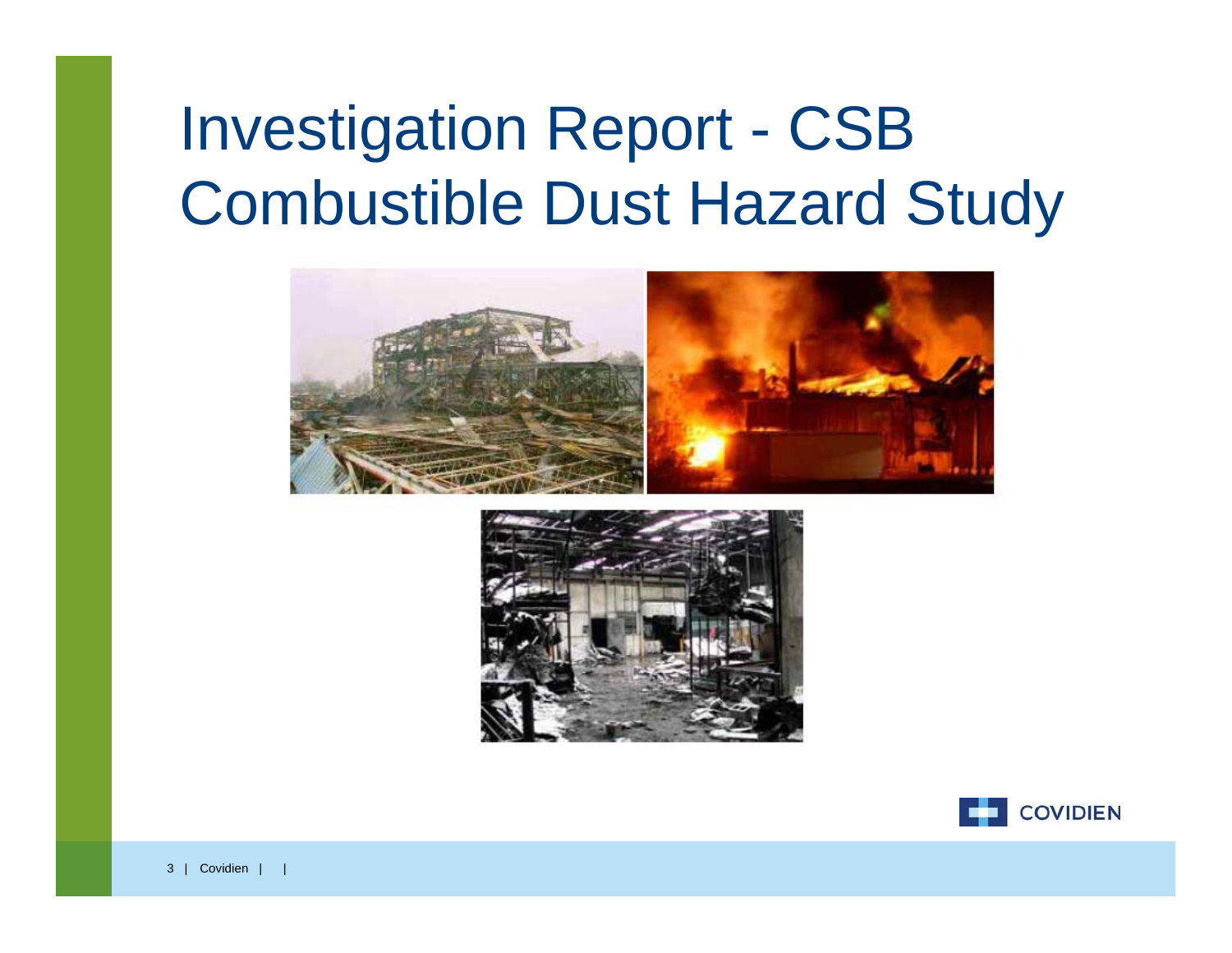### Investigation Report - CSB Combustible Dust Hazard Study





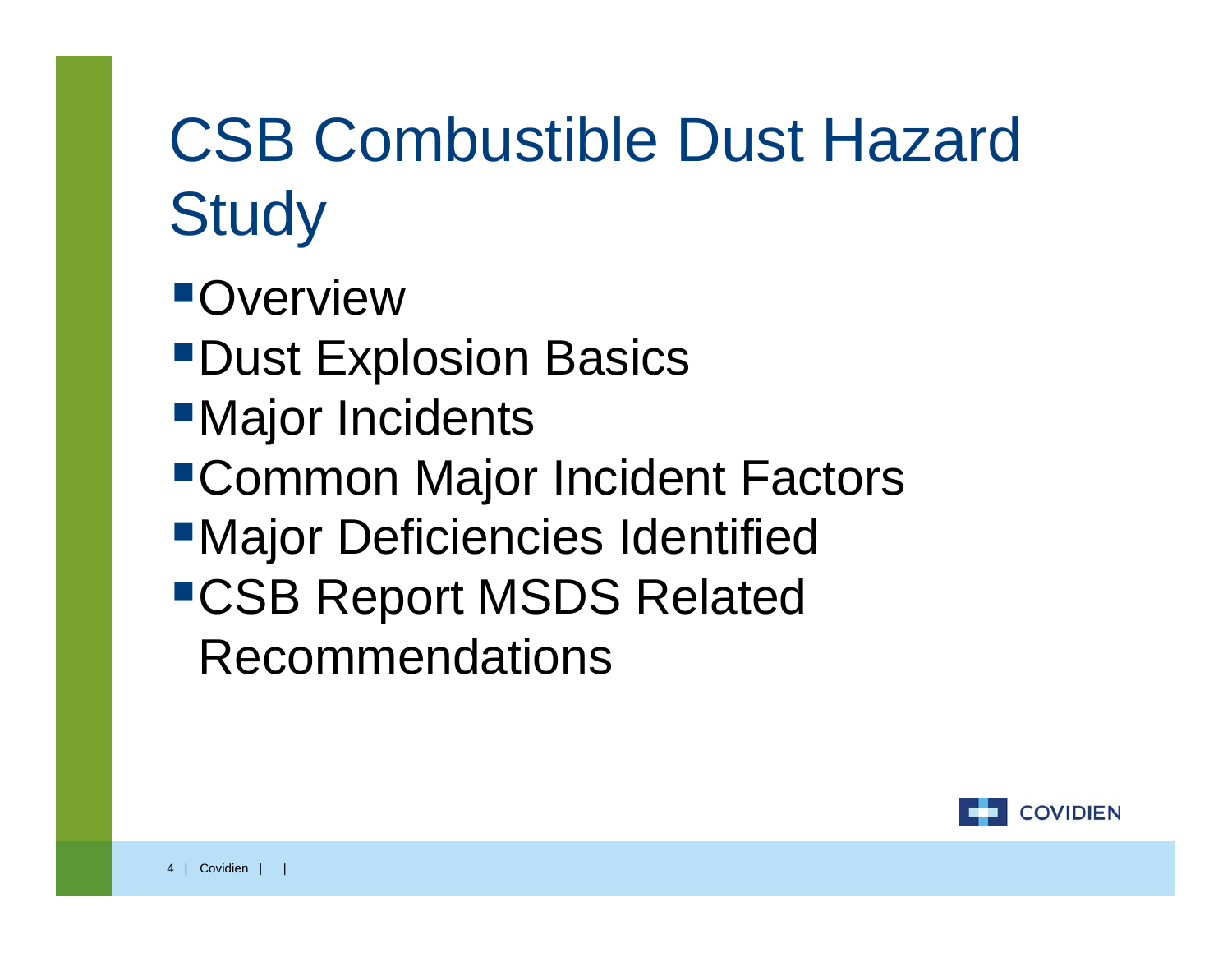# CSB Combustible Dust Hazard **Study**

- **Overview**
- **"Dust Explosion Basics"**
- **Najor Incidents**
- Common Major Incident Factors
- **■Major Deficiencies Identified**
- CSB Report MSDS Related Recommendations

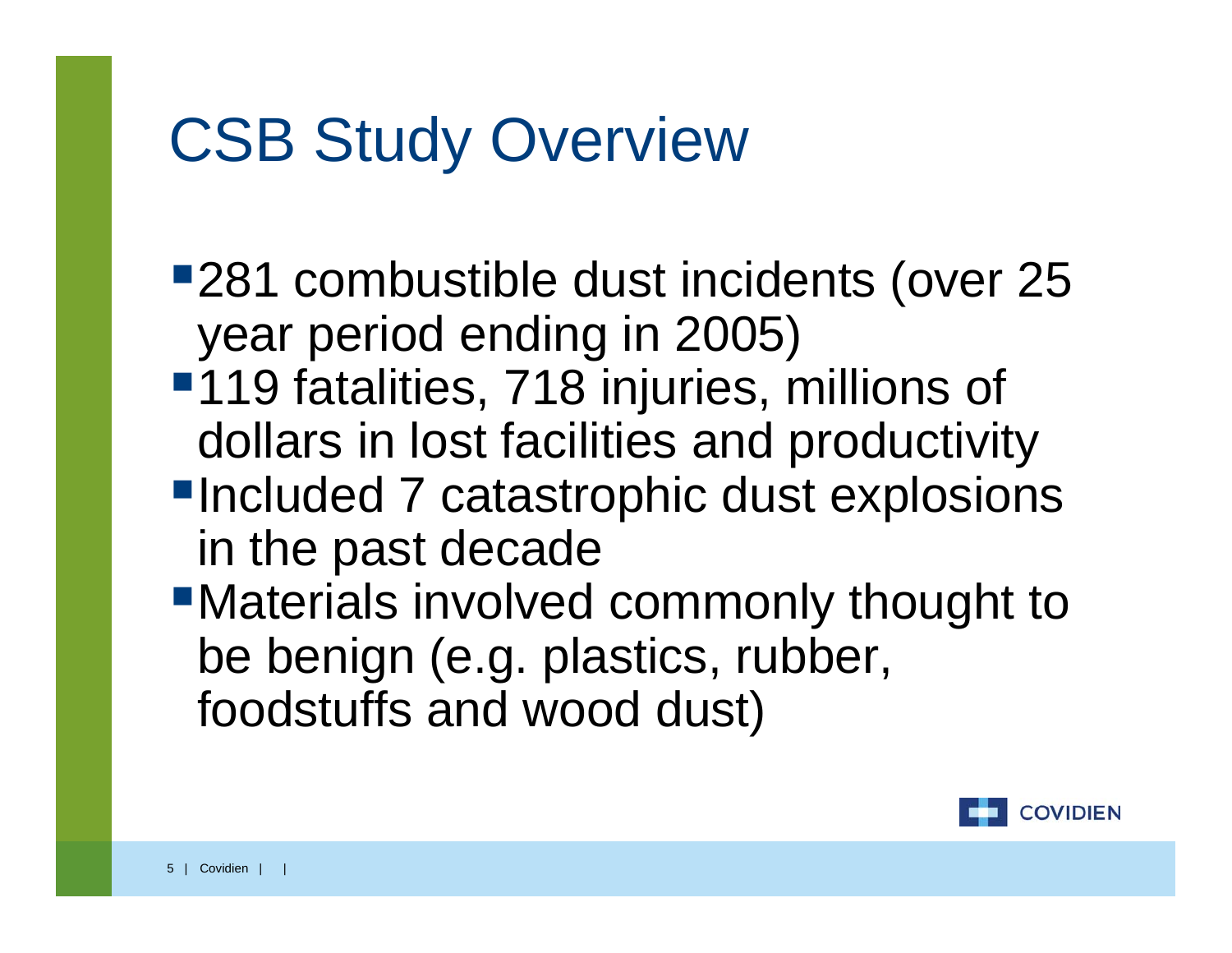#### CSB Study Overview

- ■281 combustible dust incidents (over 25 year period ending in 2005)
- ■119 fatalities, 718 injuries, millions of dollars in lost facilities and productivity
- **Included 7 catastrophic dust explosions** in the past decade
- Materials involved commonly thought to be benign (e.g. plastics, rubber, foodstuffs and wood dust)

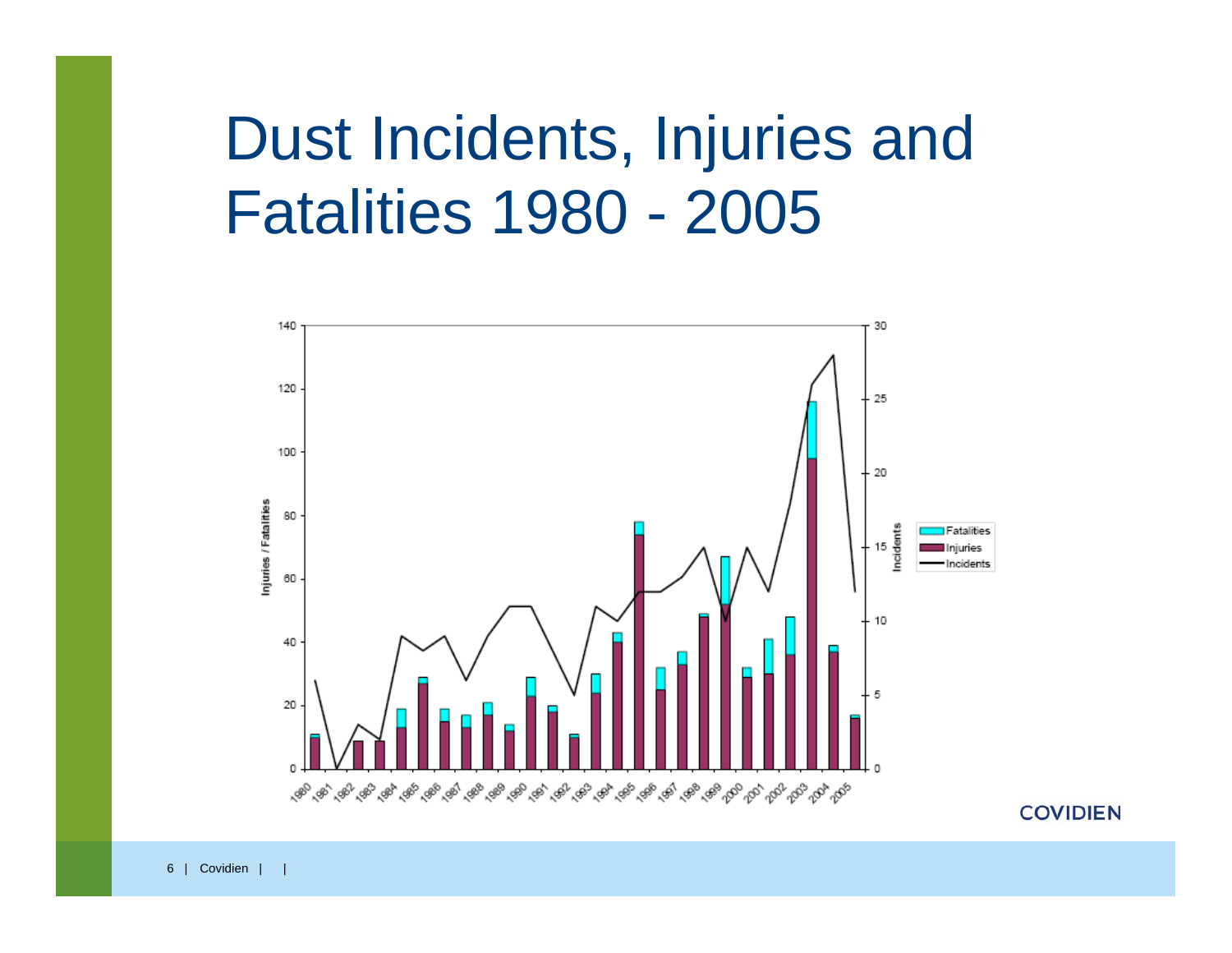#### Dust Incidents, Injuries and Fatalities 1980 - 2005



**COVIDIEN**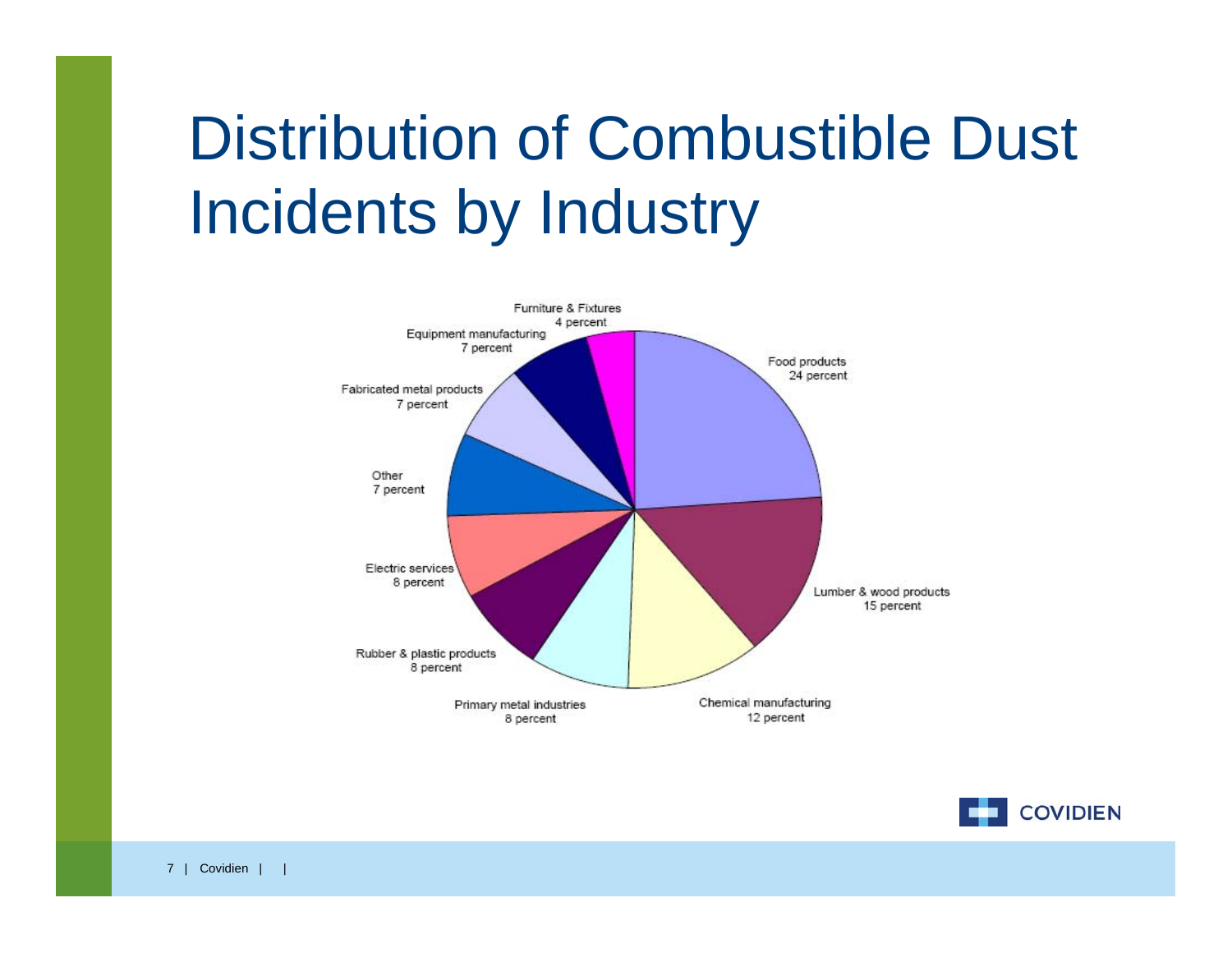# Distribution of Combustible Dust Incidents by Industry



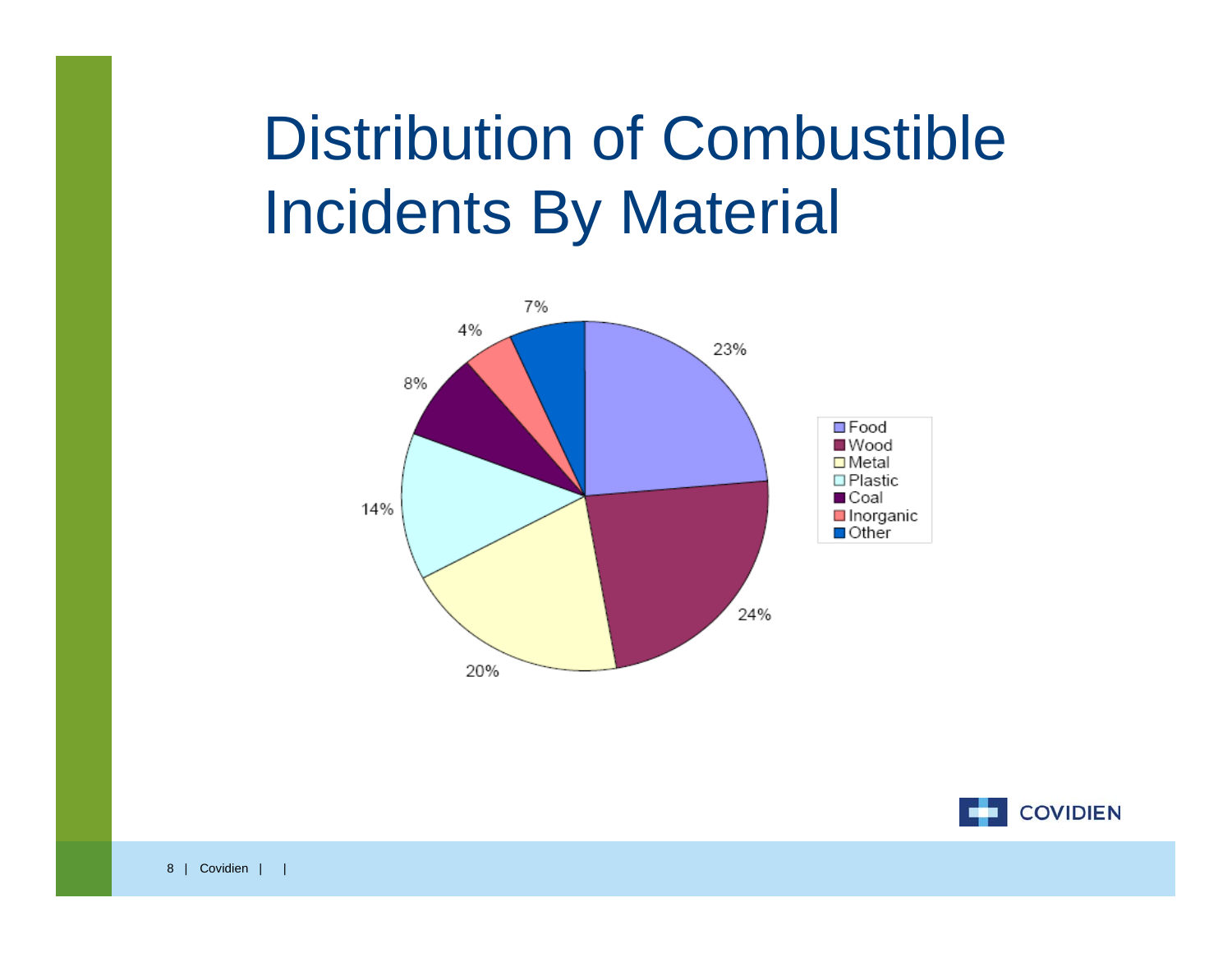# Distribution of Combustible Incidents By Material



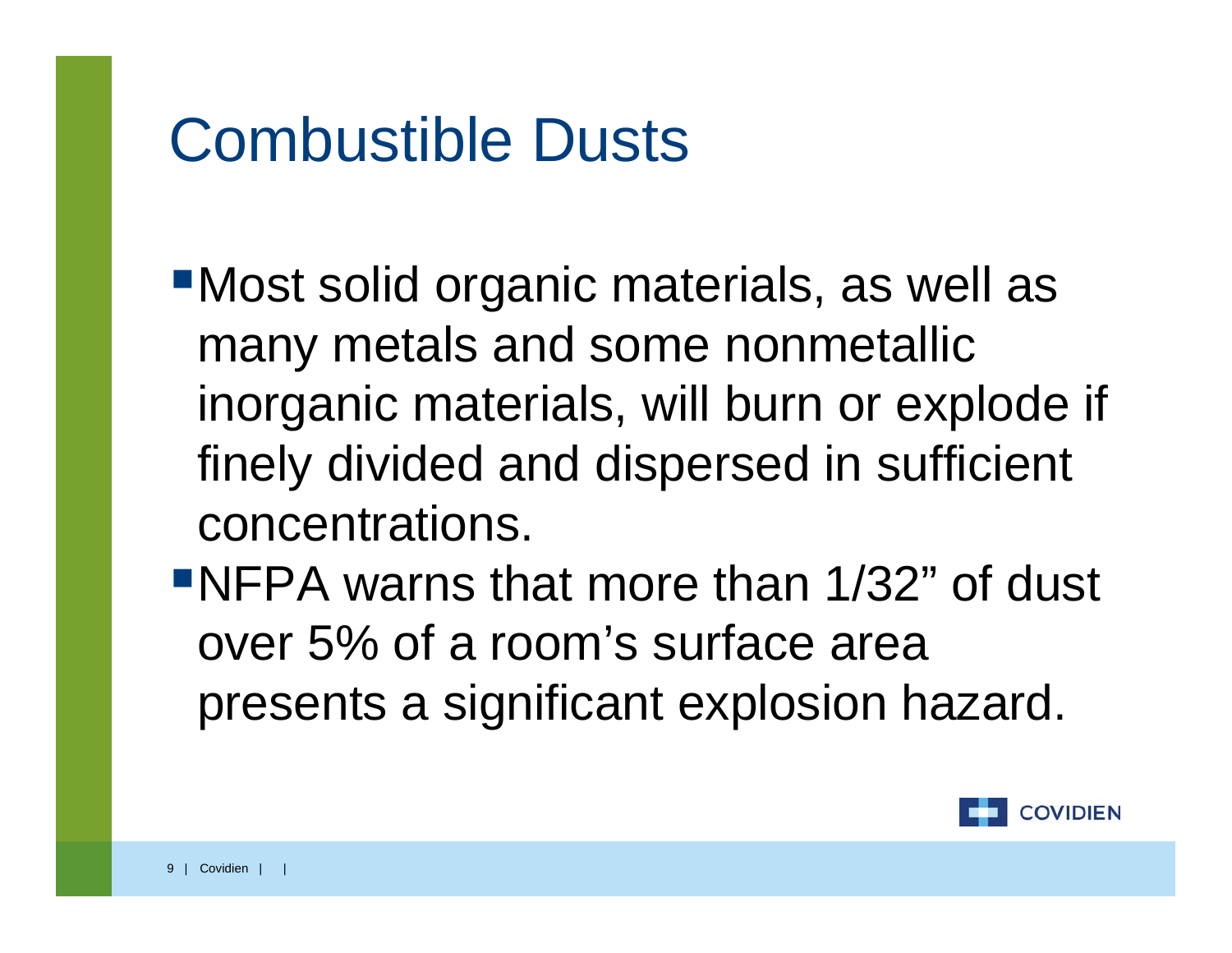#### Combustible Dusts

- Most solid organic materials, as well as many metals and some nonmetallic inorganic materials, will burn or explode if finely divided and dispersed in sufficient concentrations.
- NFPA warns that more than 1/32" of dust over 5% of a room's surface area presents a significant explosion hazard.

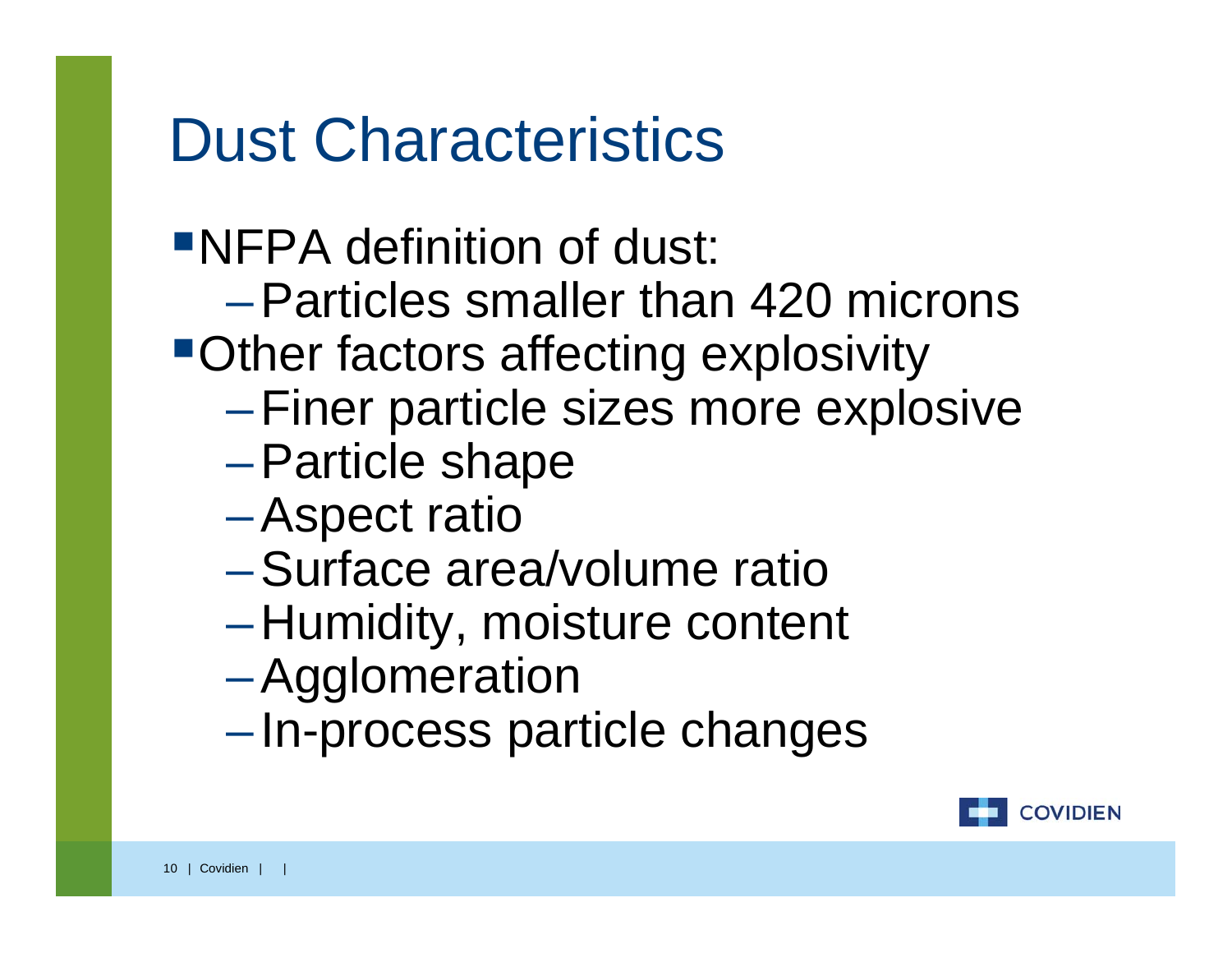#### Dust Characteristics

#### NFPA definition of dust:

- –Particles smaller than 420 microns
- Other factors affecting explosivity
	- –Finer particle sizes more explosive
	- –Particle shape
	- –Aspect ratio
	- –Surface area/volume ratio
	- $\mathcal{L}_{\mathcal{A}}$  , and the set of  $\mathcal{L}_{\mathcal{A}}$ Humidity, moisture content
	- –Agglomeration
	- $\mathcal{L}_{\mathcal{A}}$  , and the set of  $\mathcal{L}_{\mathcal{A}}$ –In-process particle changes

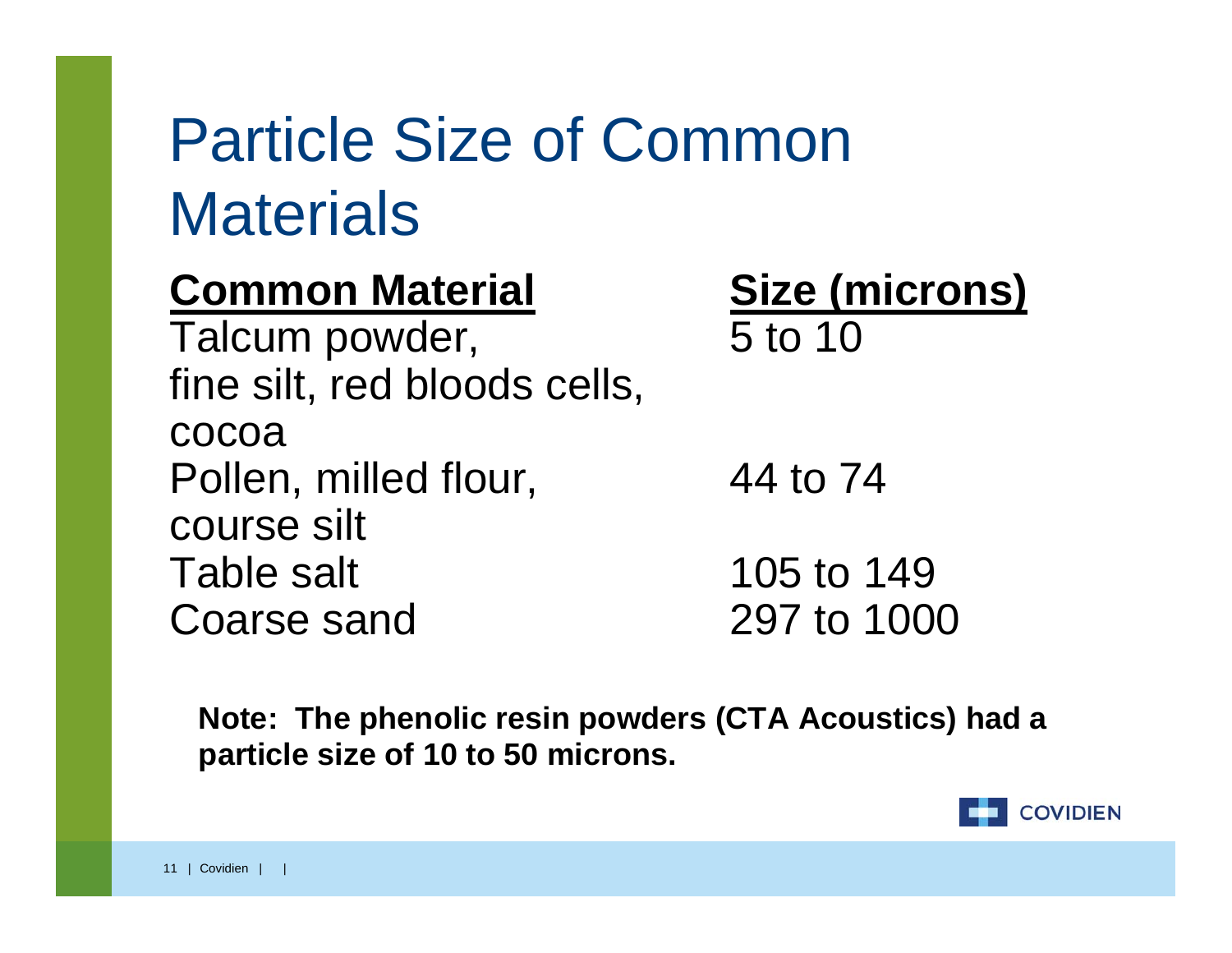# Particle Size of Common **Materials**

**Common Material Size (microns)** Talcum powder, 5 to 10 fine silt, red bloods cells, cocoaPollen, milled flour, 44 to 74 course silt Table salt 105 to 149 Coarse sand

297 to 1000

**Note: The phenolic resin powders (CTA Acoustics) had a particle size of 10 to 50 microns.** 

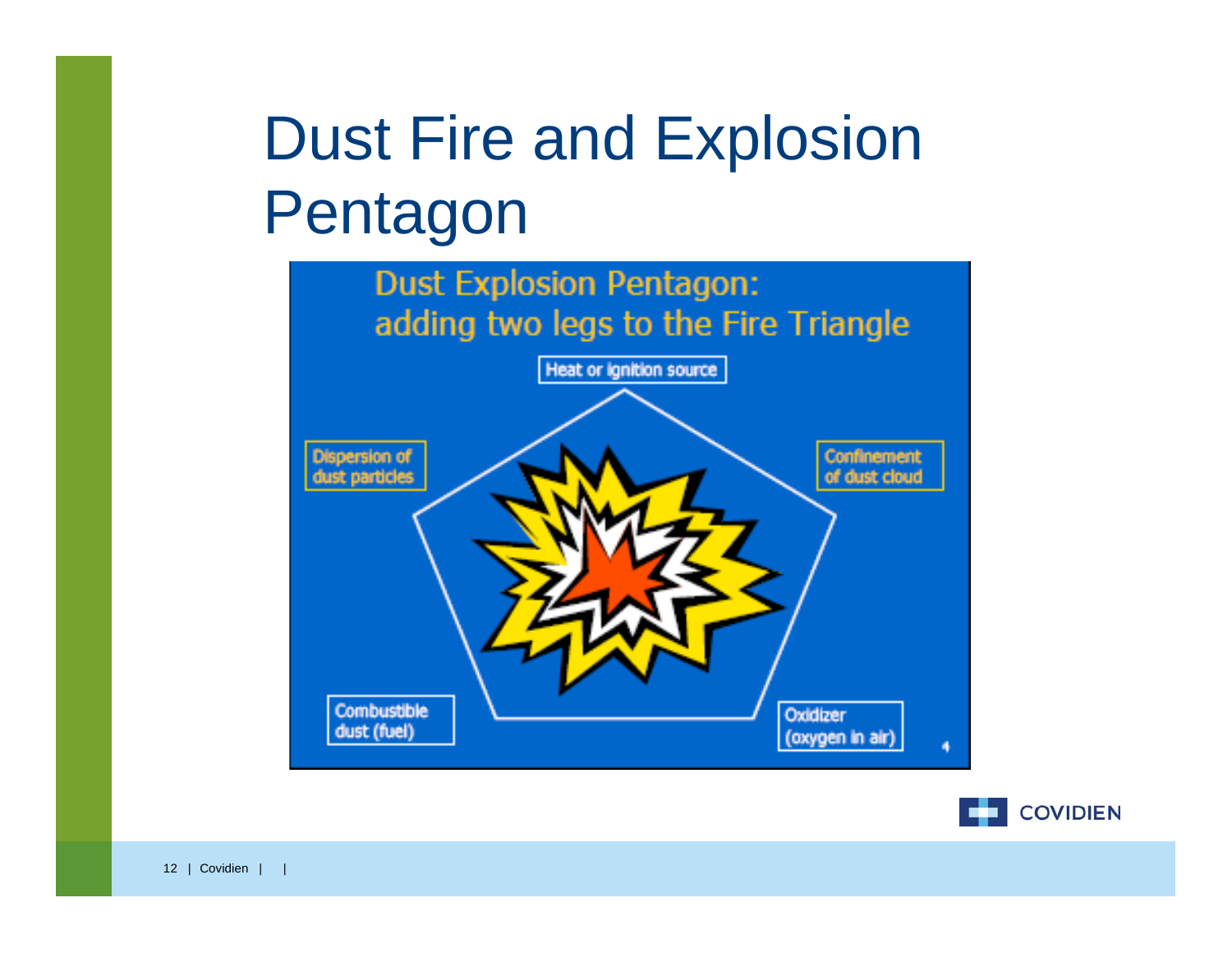# Dust Fire and Explosion Pentagon



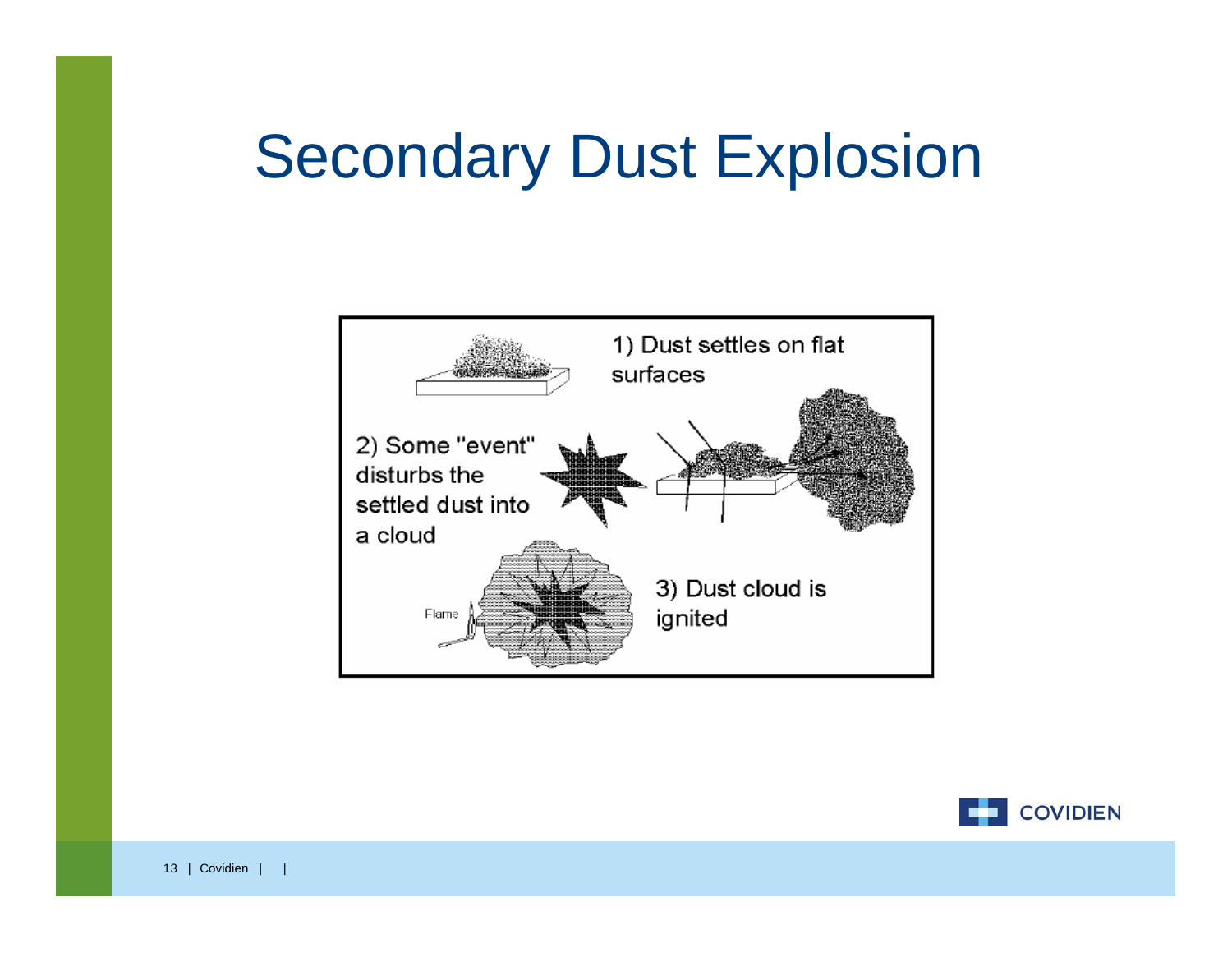#### Secondary Dust Explosion



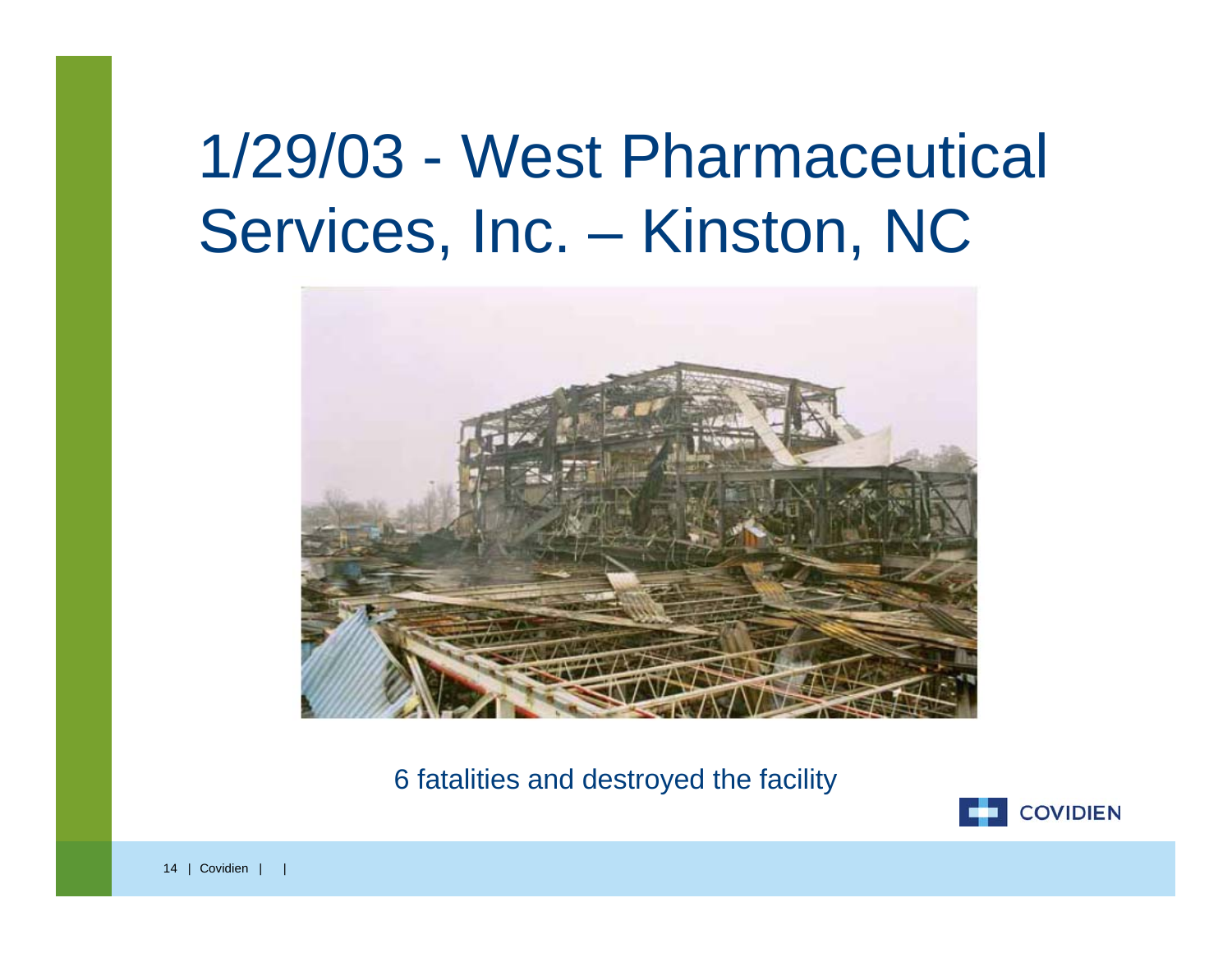#### 1/29/03 - West Pharmaceutical Services, Inc. – Kinston, NC



6 fatalities and destroyed the facility

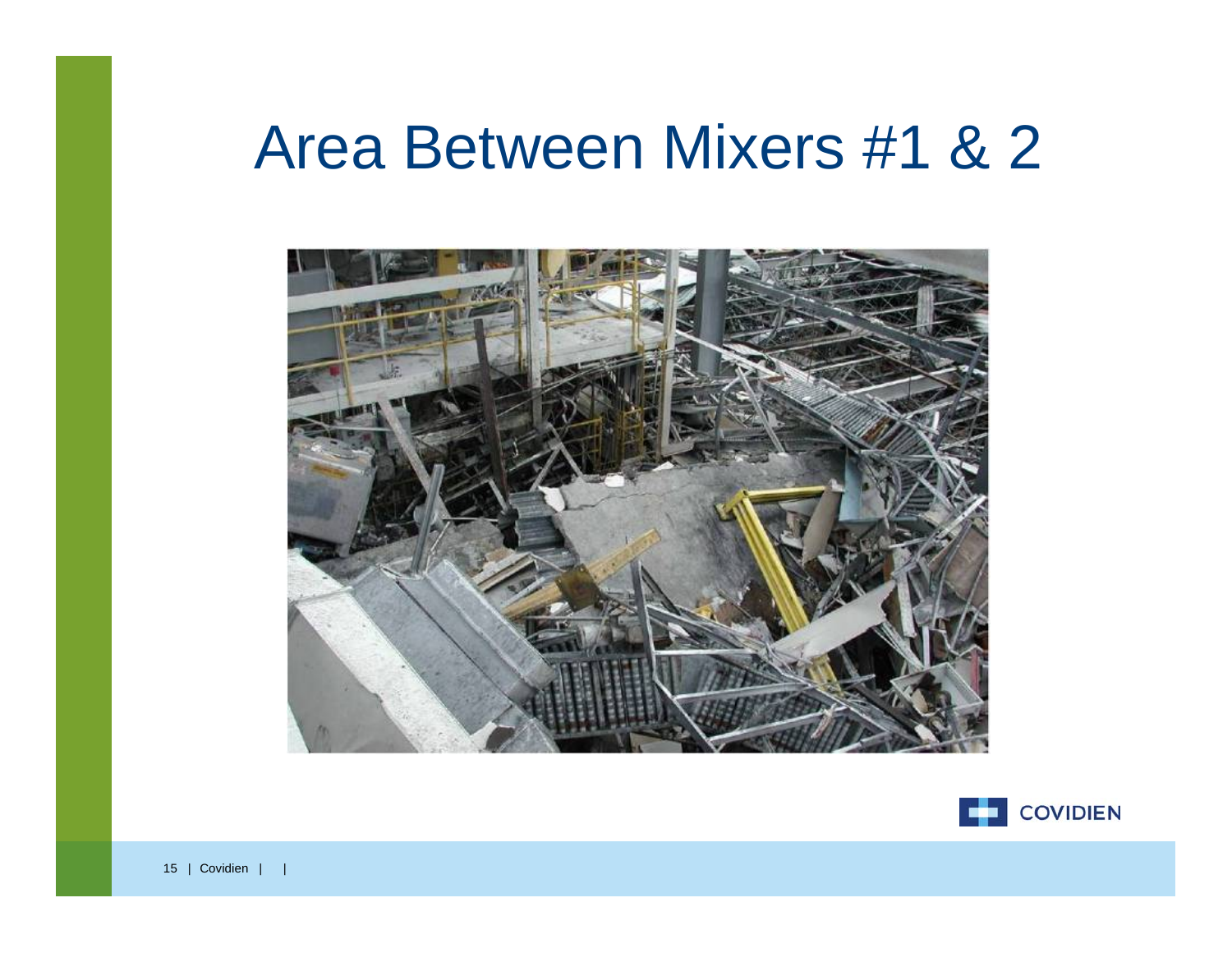#### Area Between Mixers #1 & 2



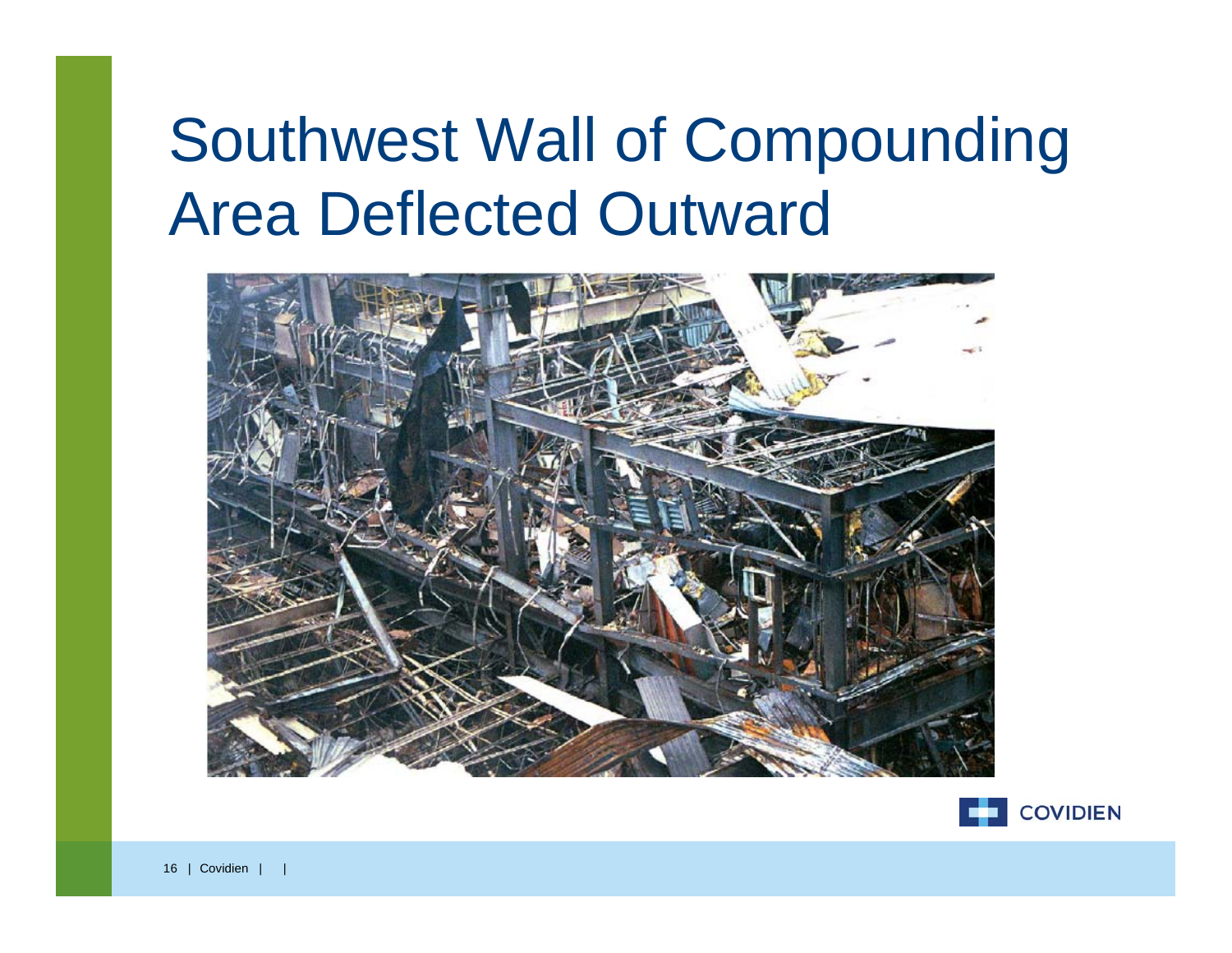# Southwest Wall of Compounding Area Deflected Outward



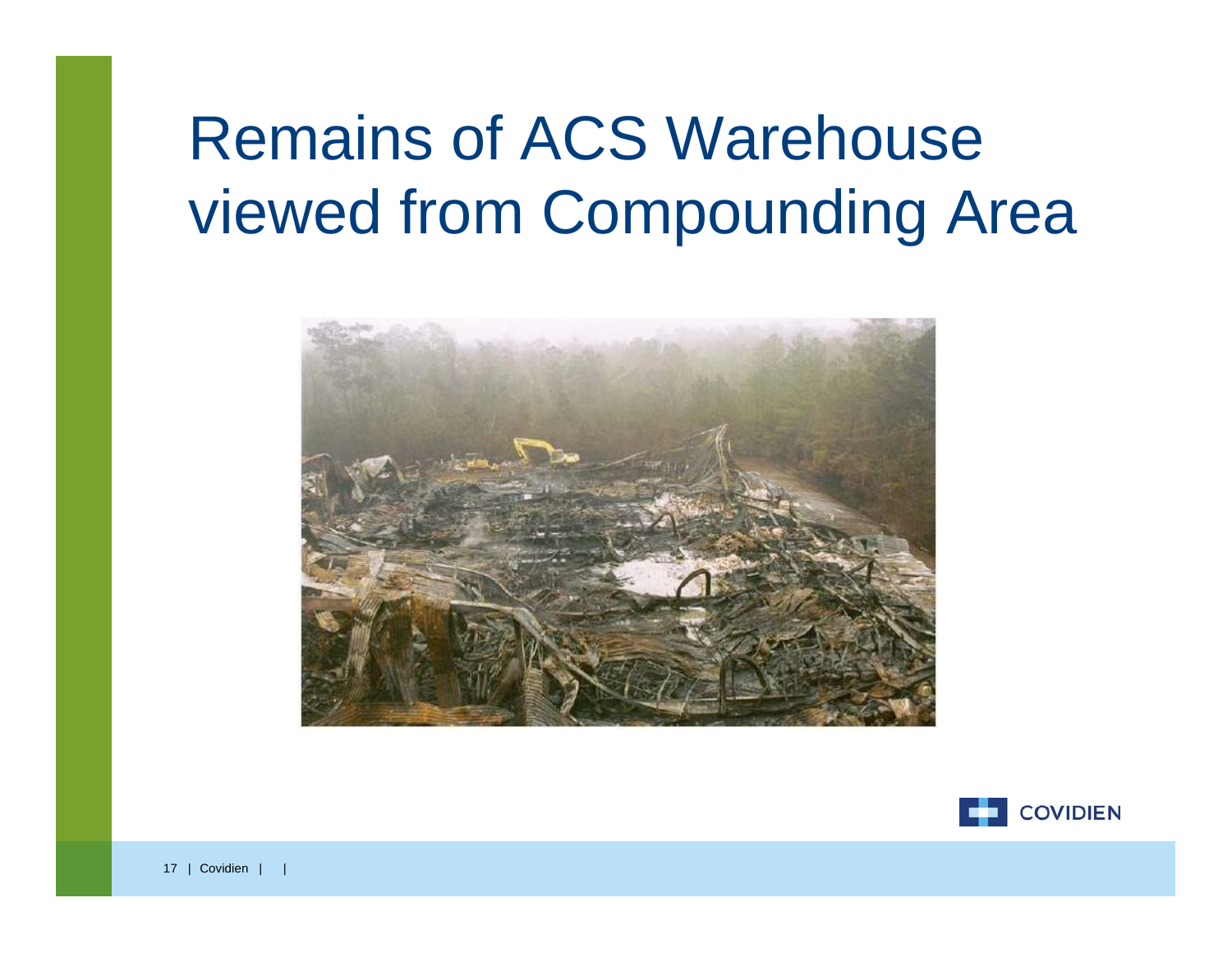# Remains of ACS Warehouse viewed from Compounding Area



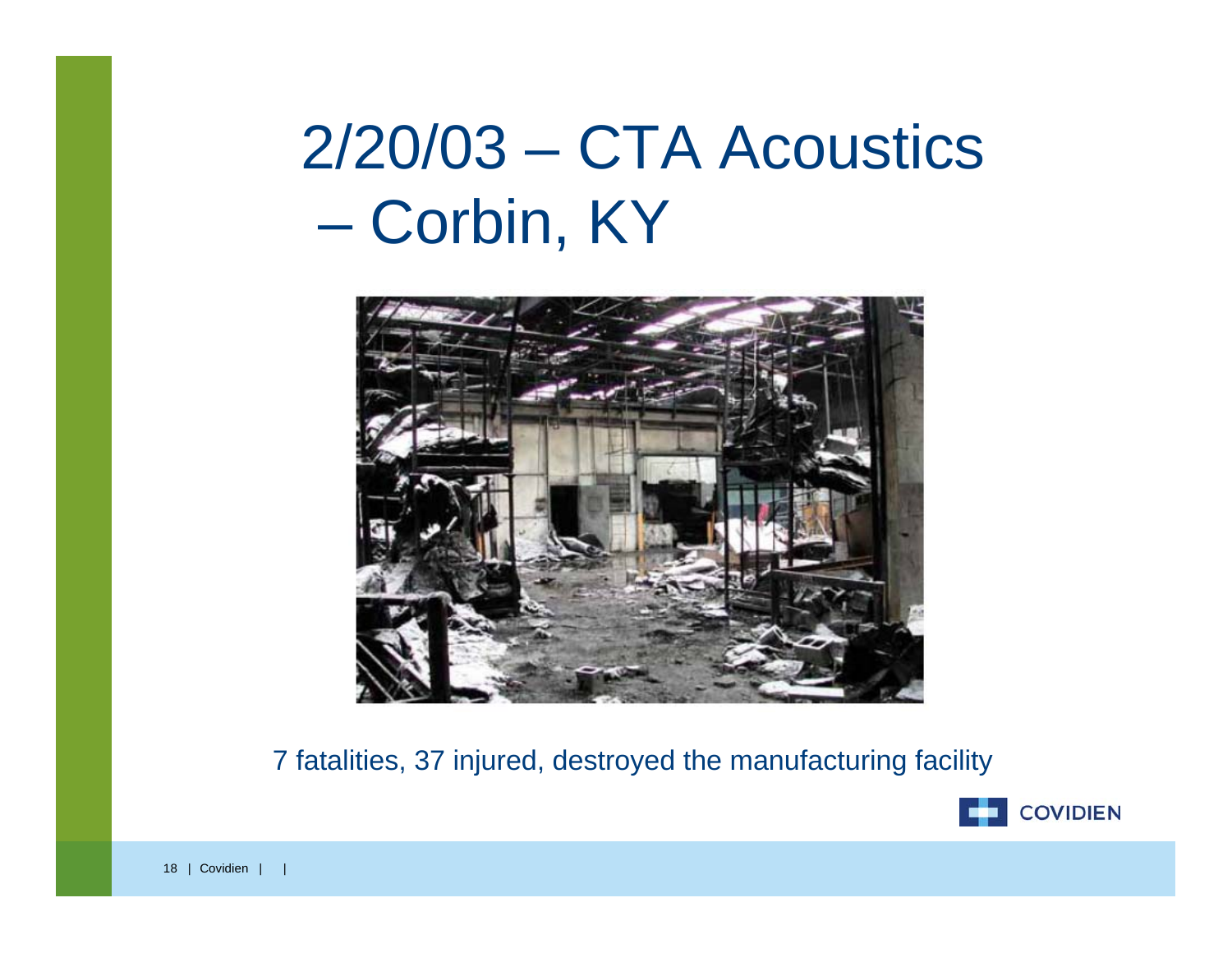#### 2/20/03 – CTA Acoustics Corbin, KY



7 fatalities, 37 injured, destroyed the manufacturing facility

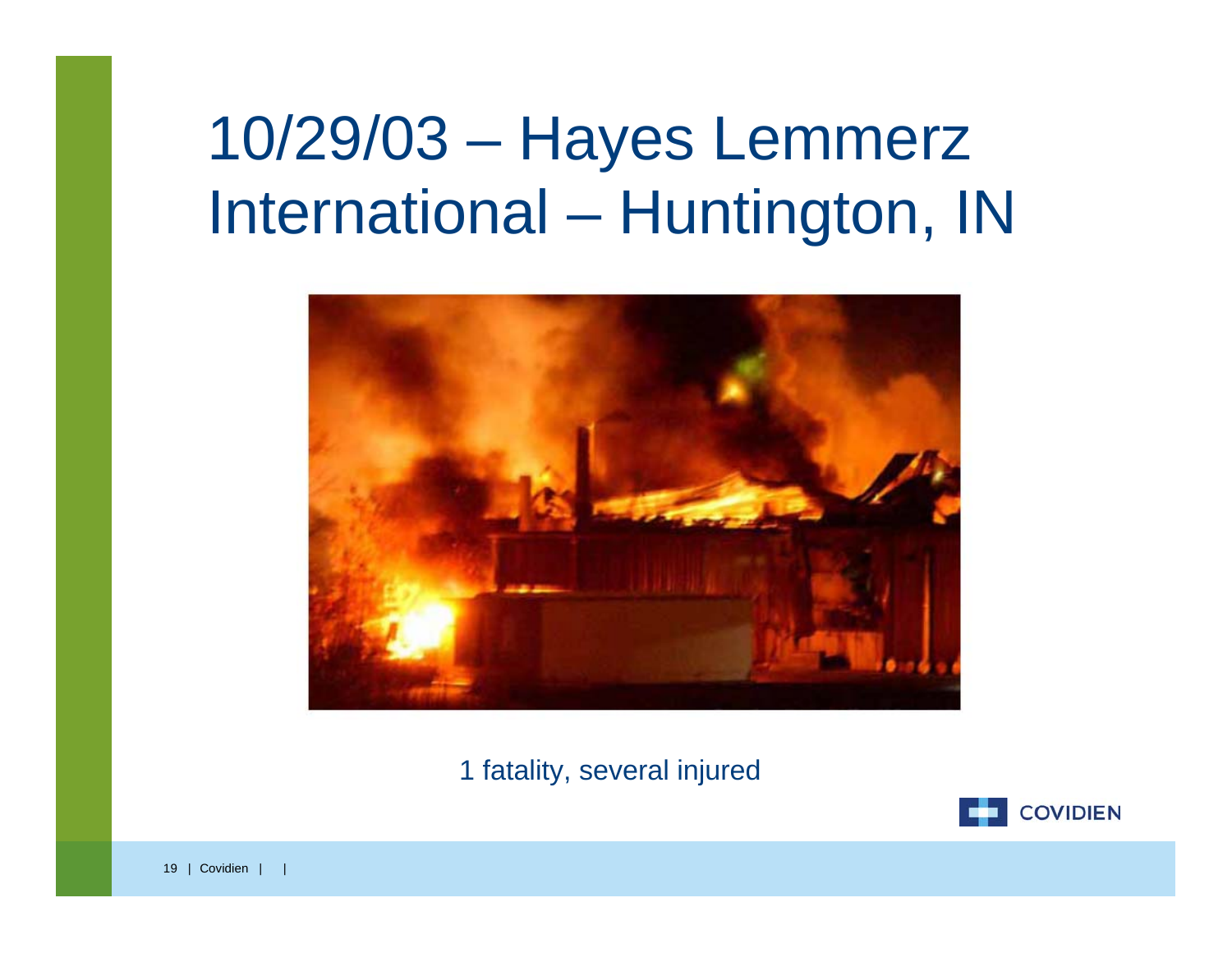### 10/29/03 – Hayes Lemmerz International – Huntington, IN



1 fatality, several injured

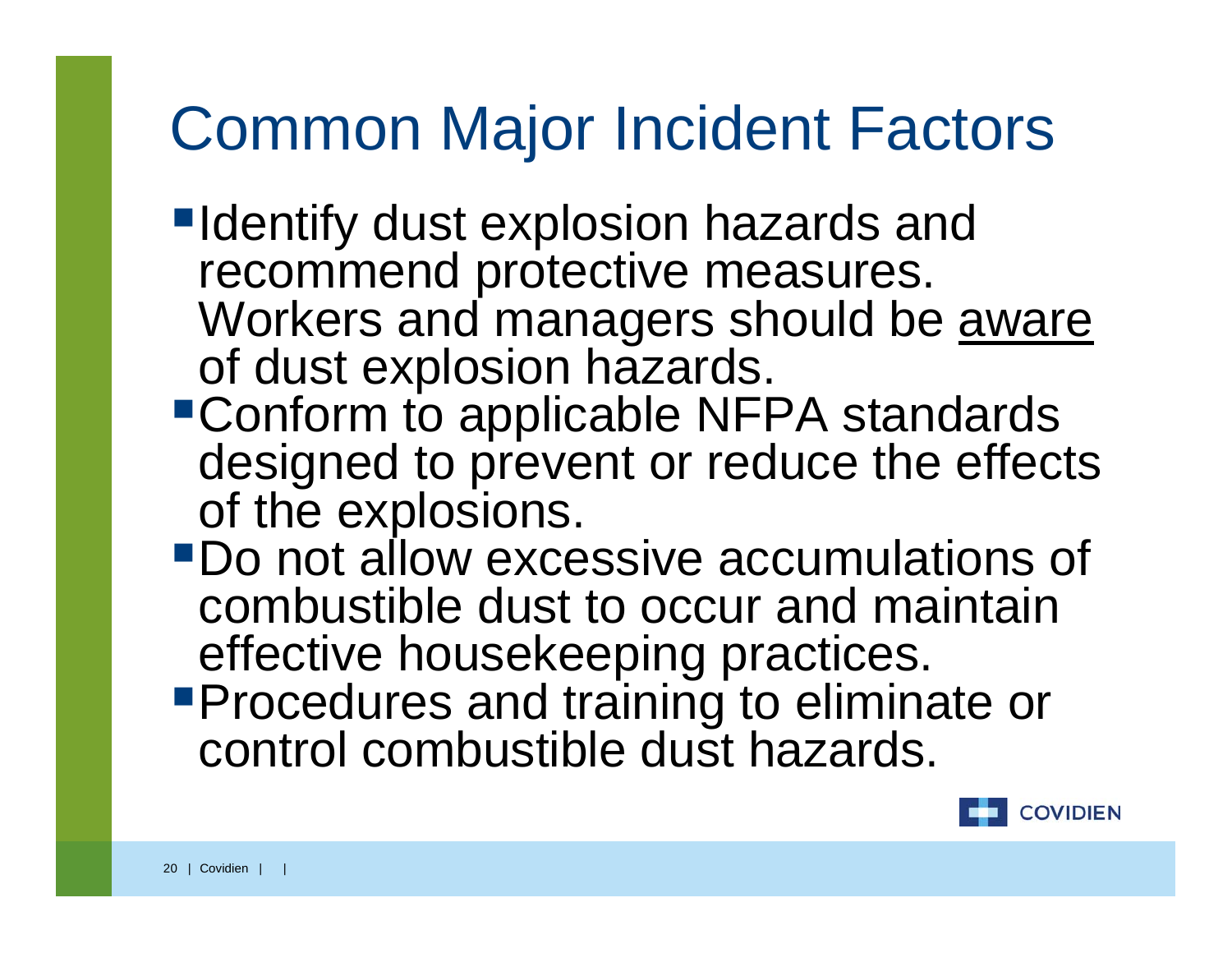### Common Major Incident Factors

- **Identify dust explosion hazards and** recommend protective measures. Workers and managers should be aware of dust explosion hazards.
- Conform to applicable NFPA standards designed to prevent or reduce the effects of the explosions.
- Do not allow excessive accumulations of combustible dust to occur and maintain effective housekeeping practices.
- **Procedures and training to eliminate or** control combustible dust hazards.

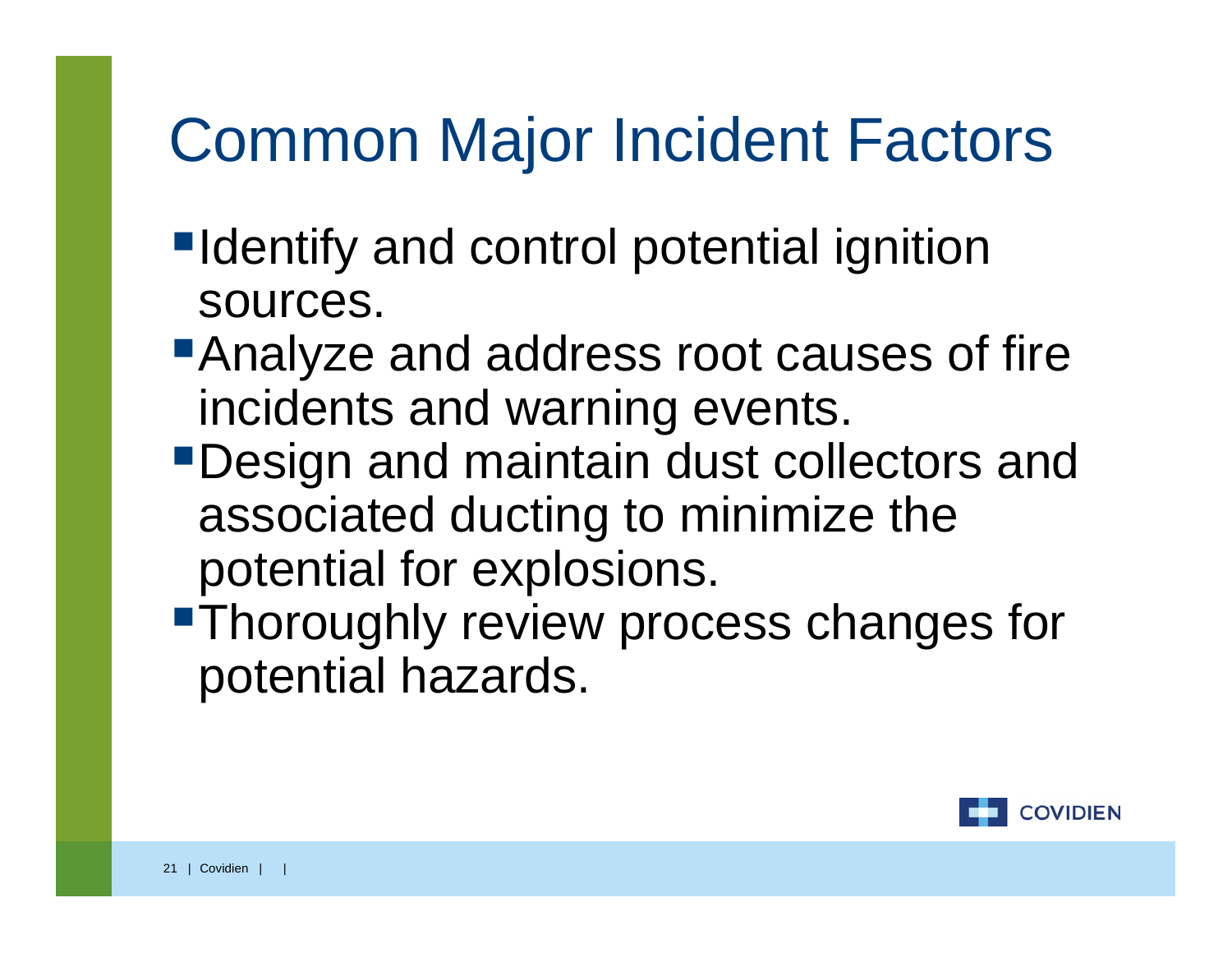# Common Major Incident Factors

- **IDENTIFY and control potential ignition** sources.
- **Analyze and address root causes of fire** incidents and warning events.
- Design and maintain dust collectors and associated ducting to minimize the potential for explosions.
- **Thoroughly review process changes for** potential hazards.

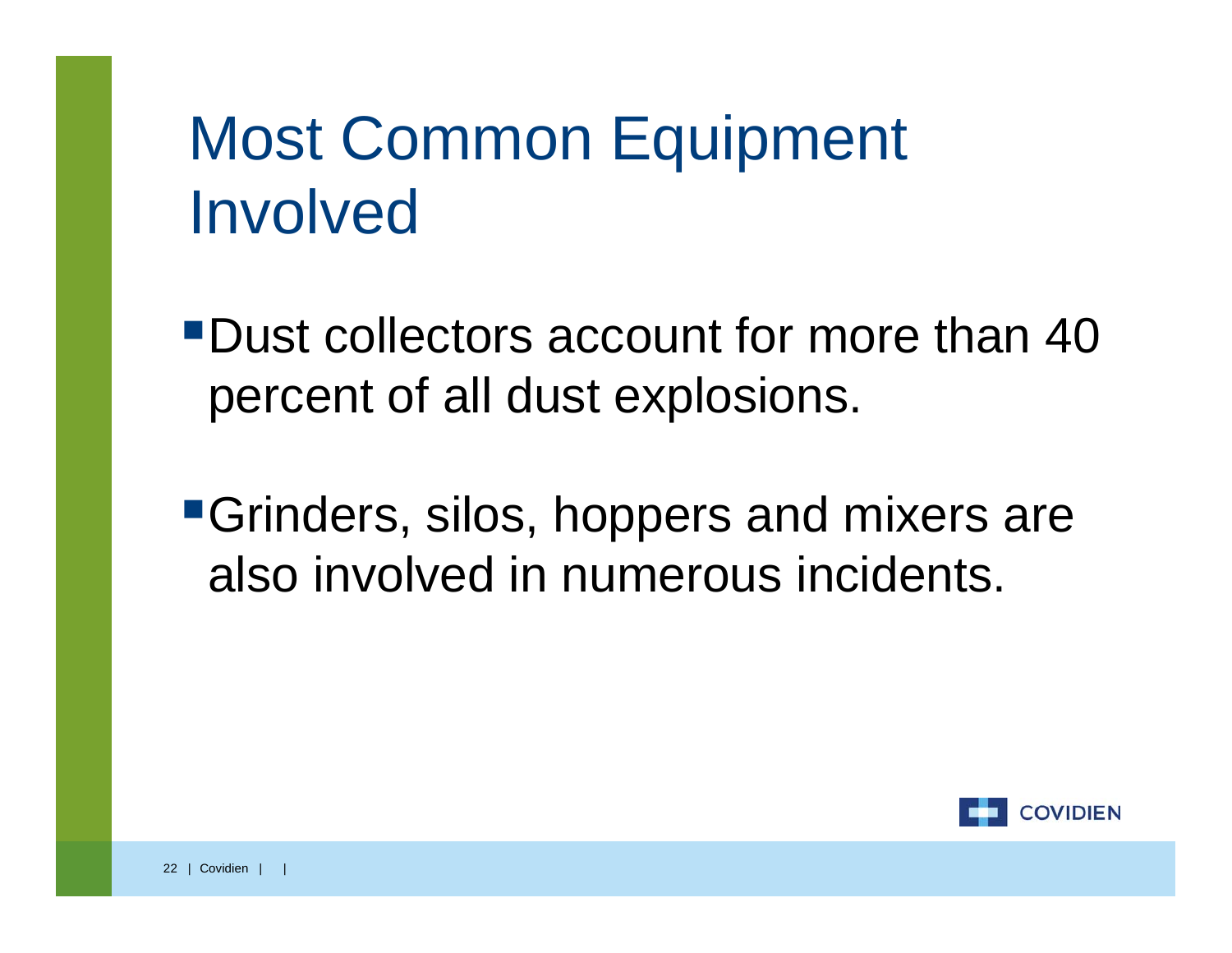# Most Common Equipment Involved

Dust collectors account for more than 40 percent of all dust explosions.

Grinders, silos, hoppers and mixers are also involved in numerous incidents.

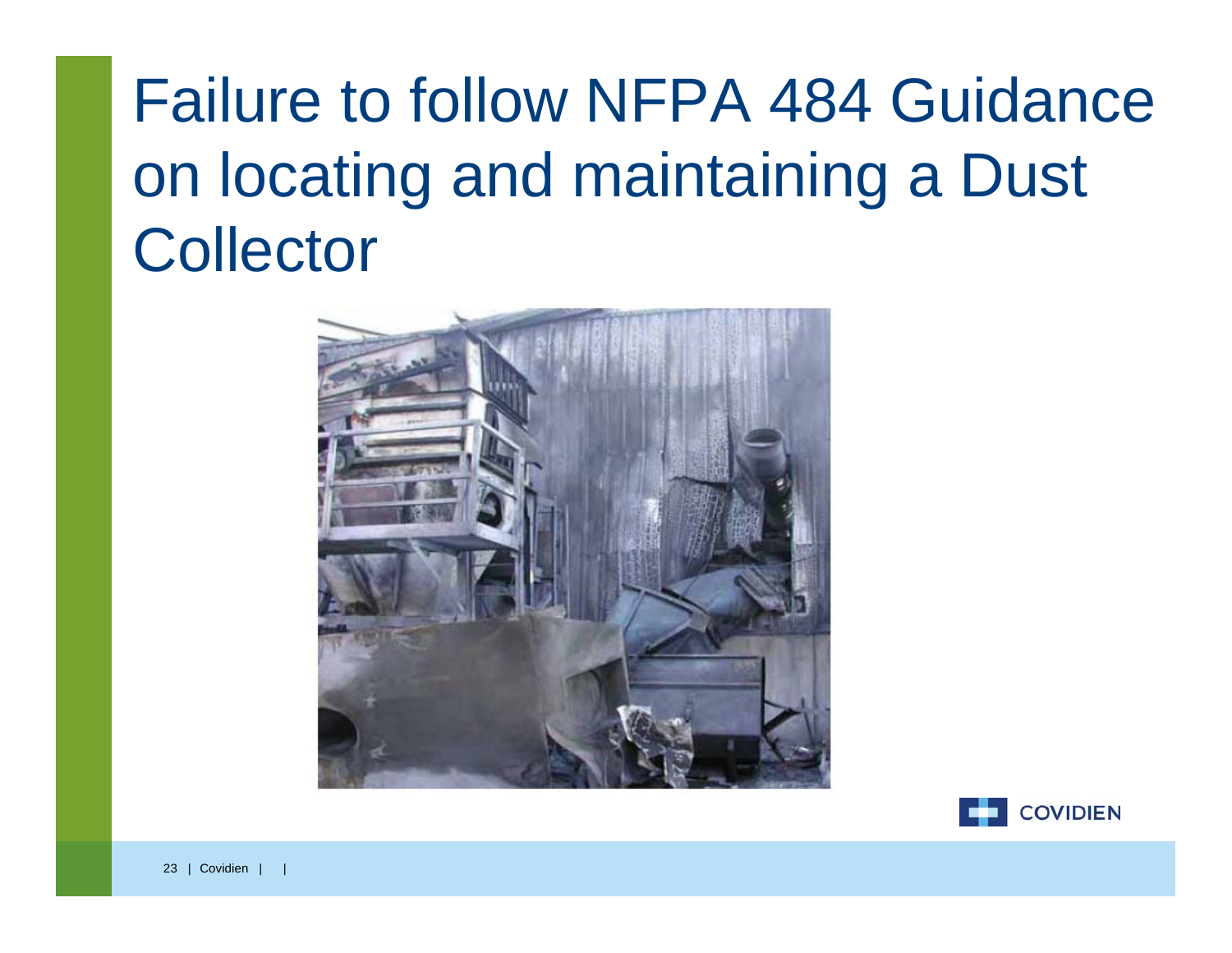# Failure to follow NFPA 484 Guidance on locating and maintaining a Dust **Collector**



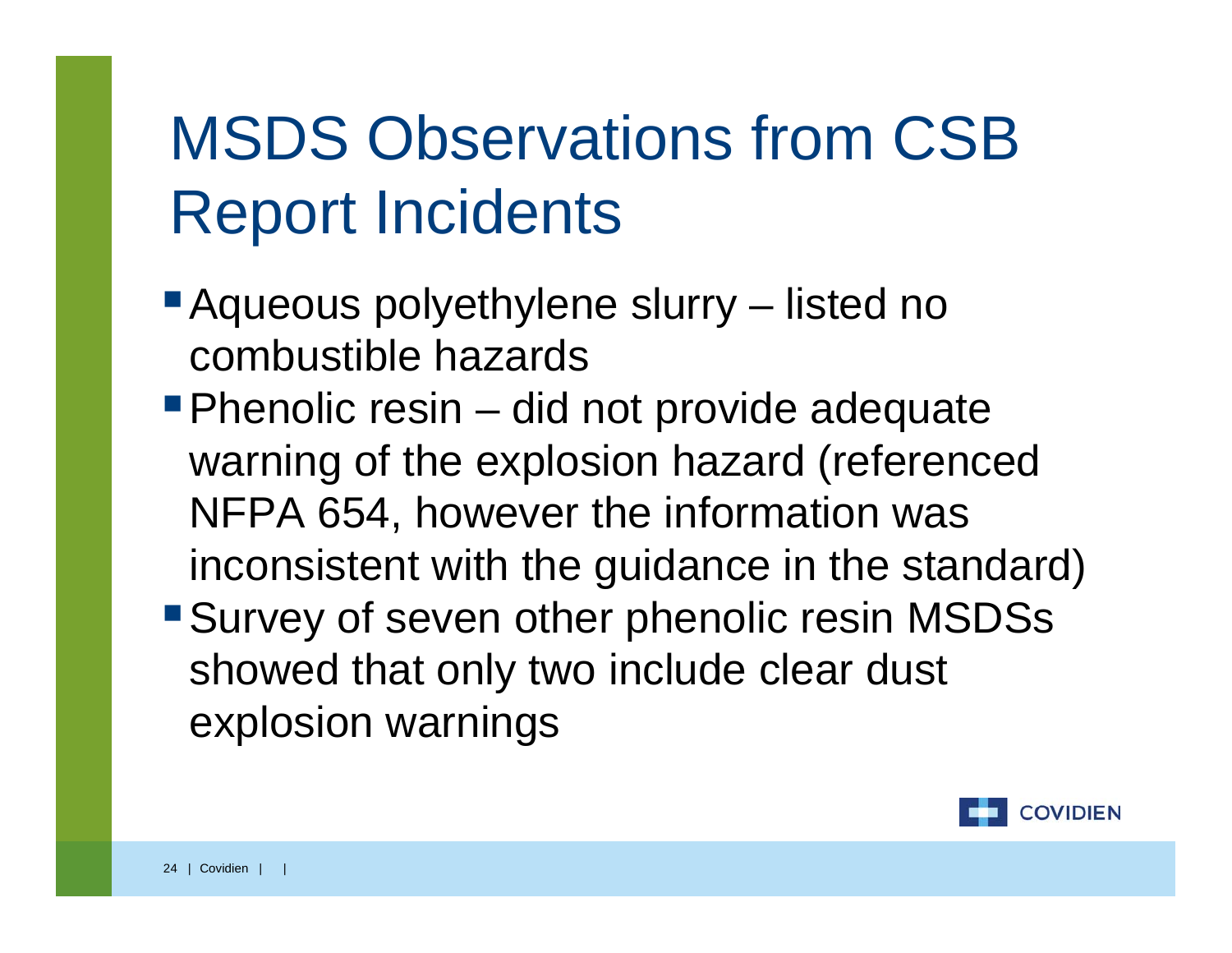# MSDS Observations from CSB Report Incidents

- Aqueous polyethylene slurry listed no combustible hazards
- **Phenolic resin did not provide adequate** warning of the explosion hazard (referenced NFPA 654, however the information was inconsistent with the guidance in the standard)
- Survey of seven other phenolic resin MSDSs showed that only two include clear dust explosion warnings

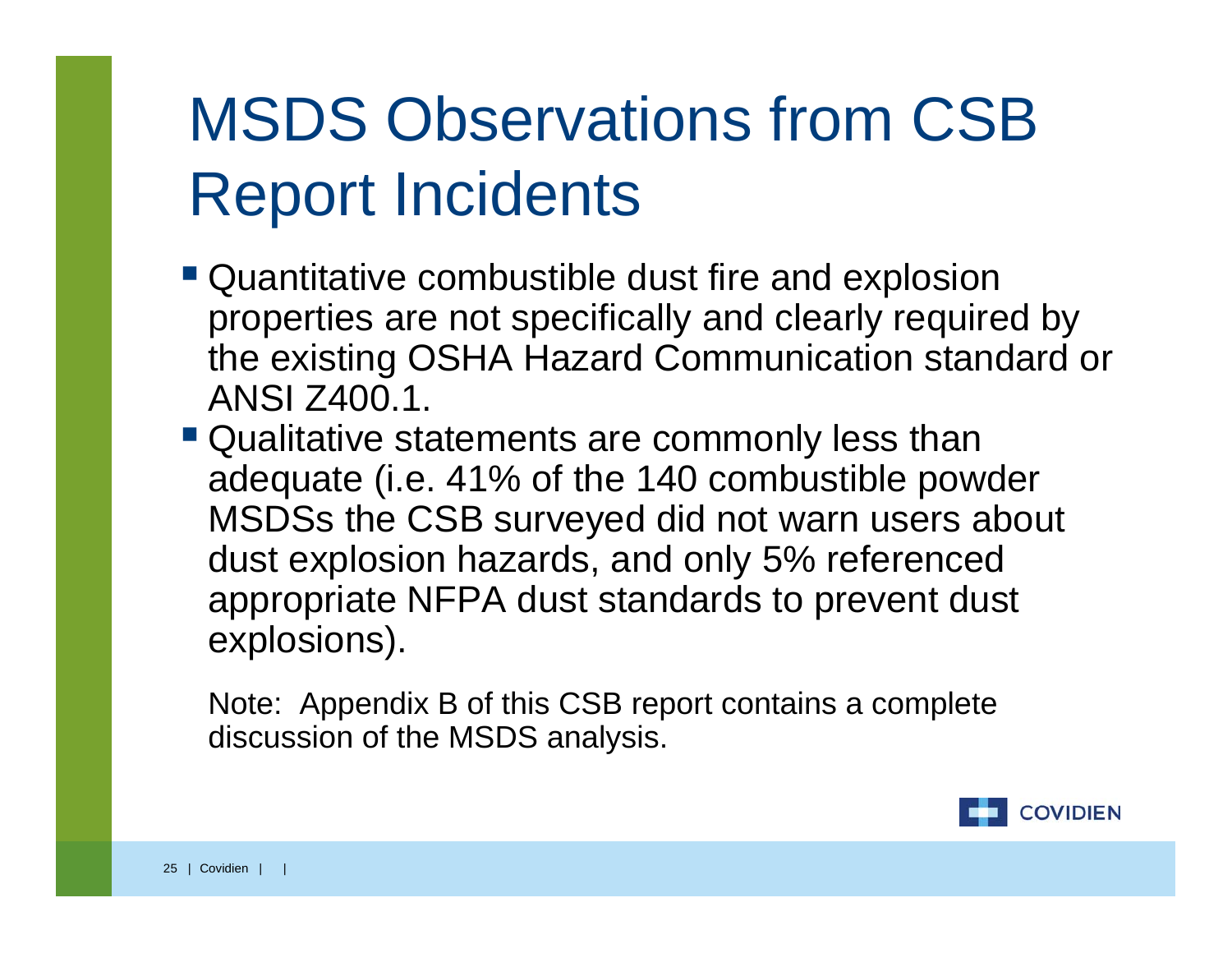# MSDS Observations from CSB Report Incidents

- Quantitative combustible dust fire and explosion properties are not specifically and clearly required by the existing OSHA Hazard Communication standard or ANSI Z400.1.
- Qualitative statements are commonly less than adequate (i.e. 41% of the 140 combustible powder MSDSs the CSB surveyed did not warn users about dust explosion hazards, and only 5% referenced appropriate NFPA dust standards to prevent dust explosions).

Note: Appendix B of this CSB report contains a complete discussion of the MSDS analysis.

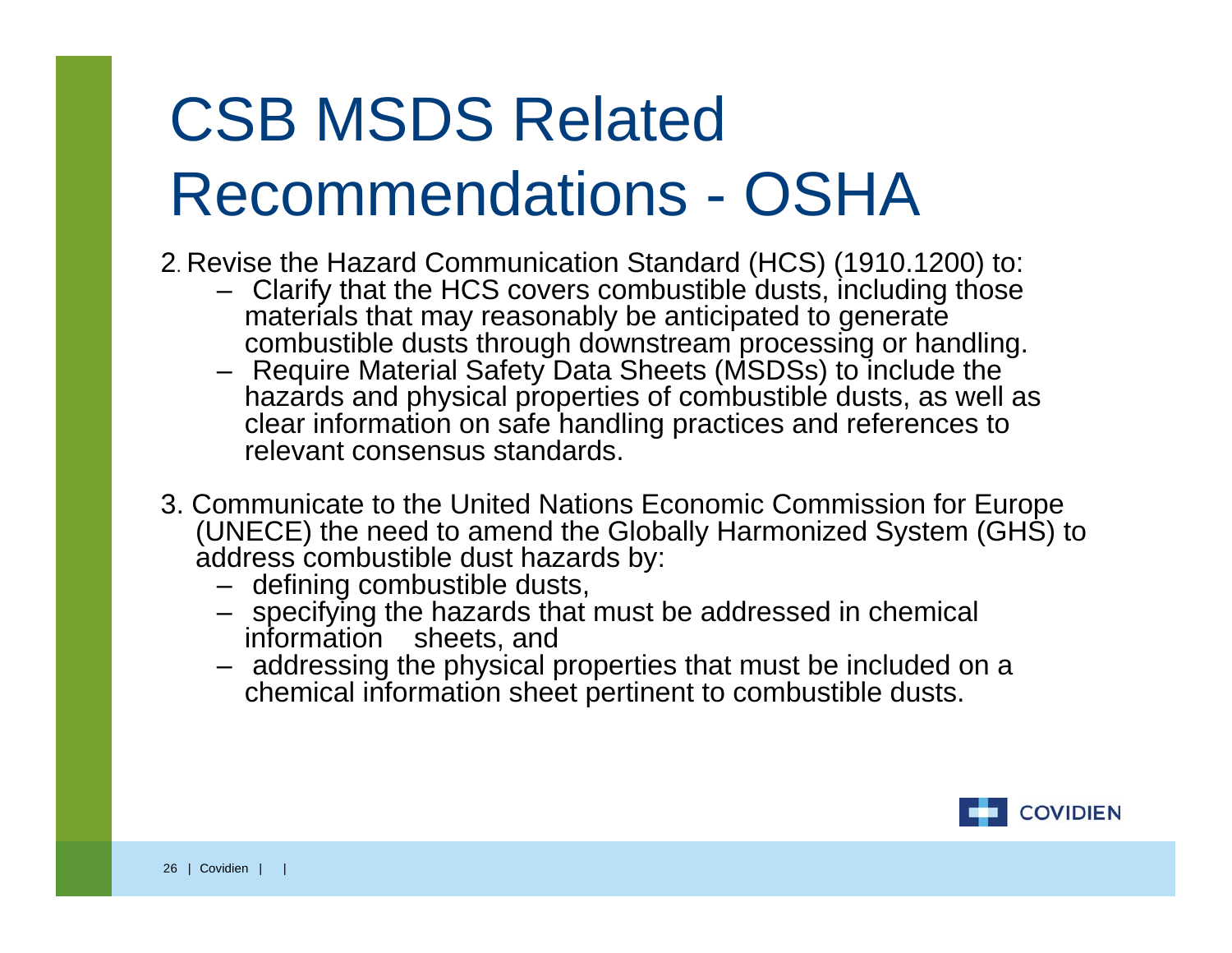# CSB MSDS Related Recommendations - OSHA

- 2. Revise the Hazard Communication Standard (HCS) (1910.1200) to:
	- Clarify that the HCS covers combustible dusts, including those materials that may reasonably be anticipated to generate combustible dusts through downstream processing or handling.
	- Require Material Safety Data Sheets (MSDSs) to include the hazards and physical properties of combustible dusts, as well as clear information on safe handling practices and references to relevant consensus standards.
- 3. Communicate to the United Nations Economic Commission for Europe (UNECE) the need to amend the Globally Harmonized System (GHS) to address combustible dust hazards by:
	- defining combustible dusts,
	- specifying the hazards that must be addressed in chemical information sheets, and
	- addressing the physical properties that must be included on a chemical information sheet pertinent to combustible dusts.

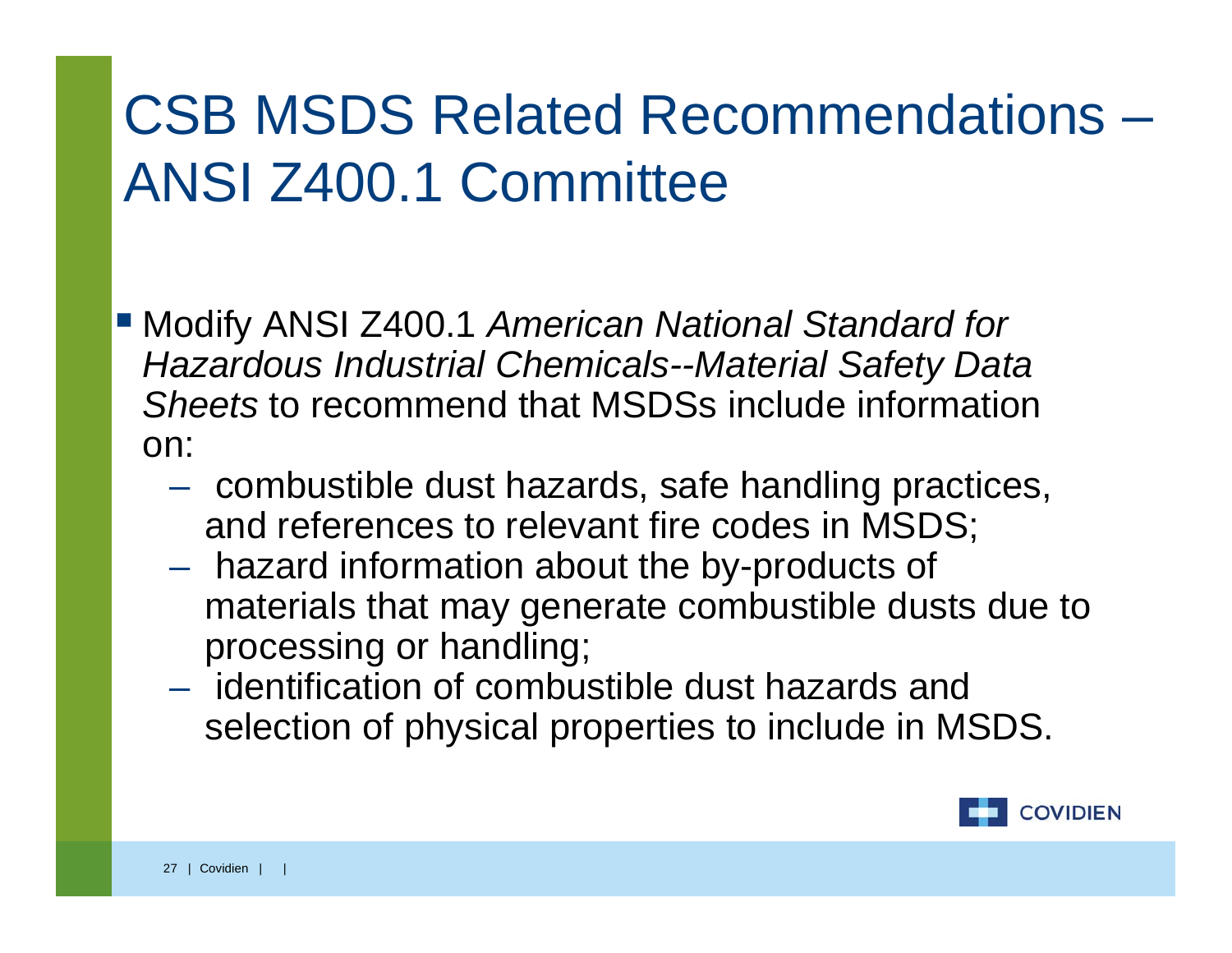#### CSB MSDS Related Recommendations – ANSI Z400.1 Committee

- Modify ANSI Z400.1 *American National Standard for Hazardous Industrial Chemicals--Material Safety Data Sheets* to recommend that MSDSs include information on:
	- combustible dust hazards, safe handling practices, and references to relevant fire codes in MSDS;
	- hazard information about the by-products of materials that may generate combustible dusts due to processing or handling;
	- identification of combustible dust hazards and selection of physical properties to include in MSDS.

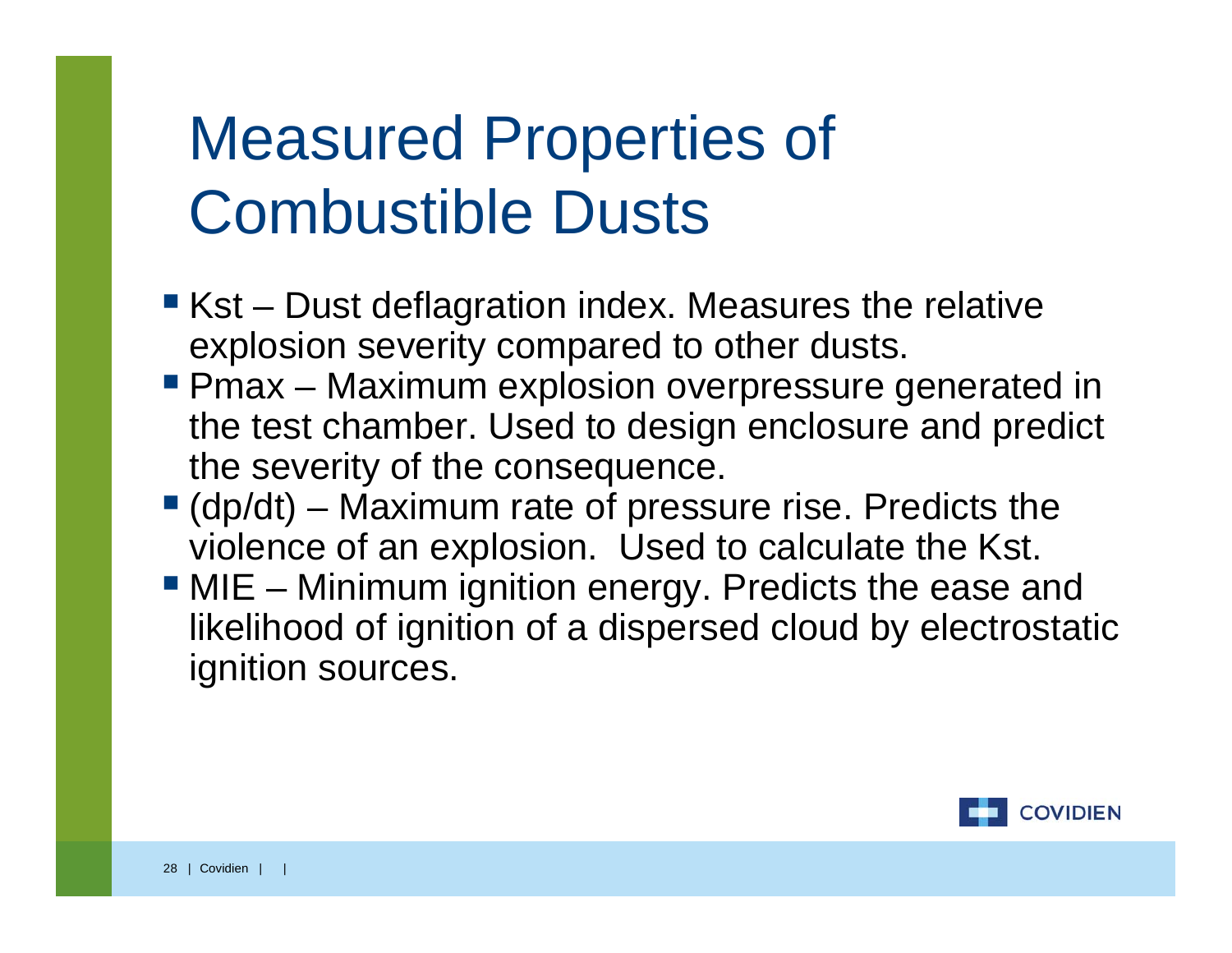# Measured Properties of Combustible Dusts

- Kst Dust deflagration index. Measures the relative explosion severity compared to other dusts.
- **Phax Maximum explosion overpressure generated in** the test chamber. Used to design enclosure and predict the severity of the consequence.
- $\blacksquare$  (dp/dt) Maximum rate of pressure rise. Predicts the violence of an explosion. Used to calculate the Kst.
- **MIE** Minimum ignition energy. Predicts the ease and likelihood of ignition of a dispersed cloud by electrostatic ignition sources.

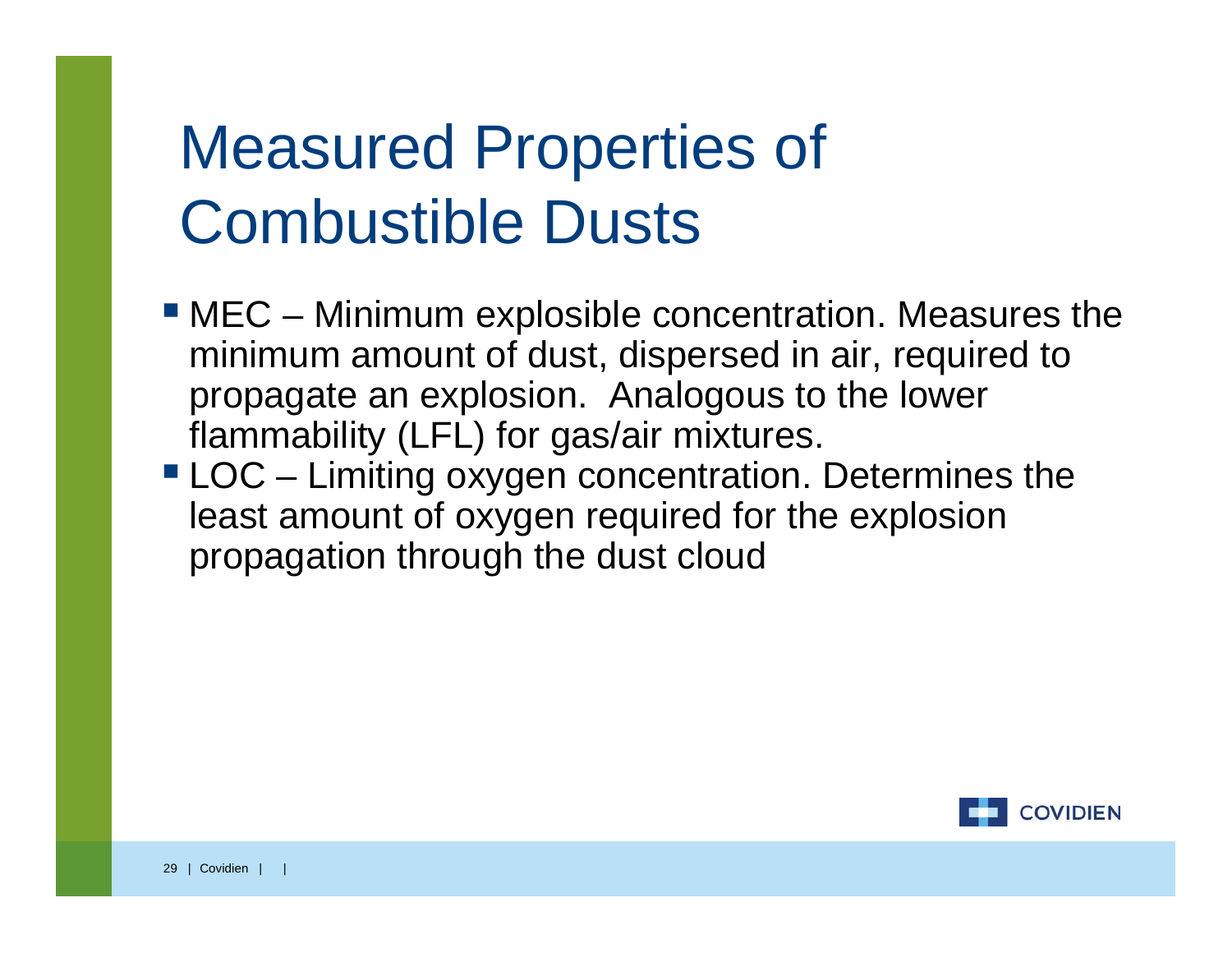### Measured Properties of Combustible Dusts

- MEC Minimum explosible concentration. Measures the minimum amount of dust, dispersed in air, required to propagate an explosion. Analogous to the lower flammability (LFL) for gas/air mixtures.
- LOC Limiting oxygen concentration. Determines the least amount of oxygen required for the explosion propagation through the dust cloud

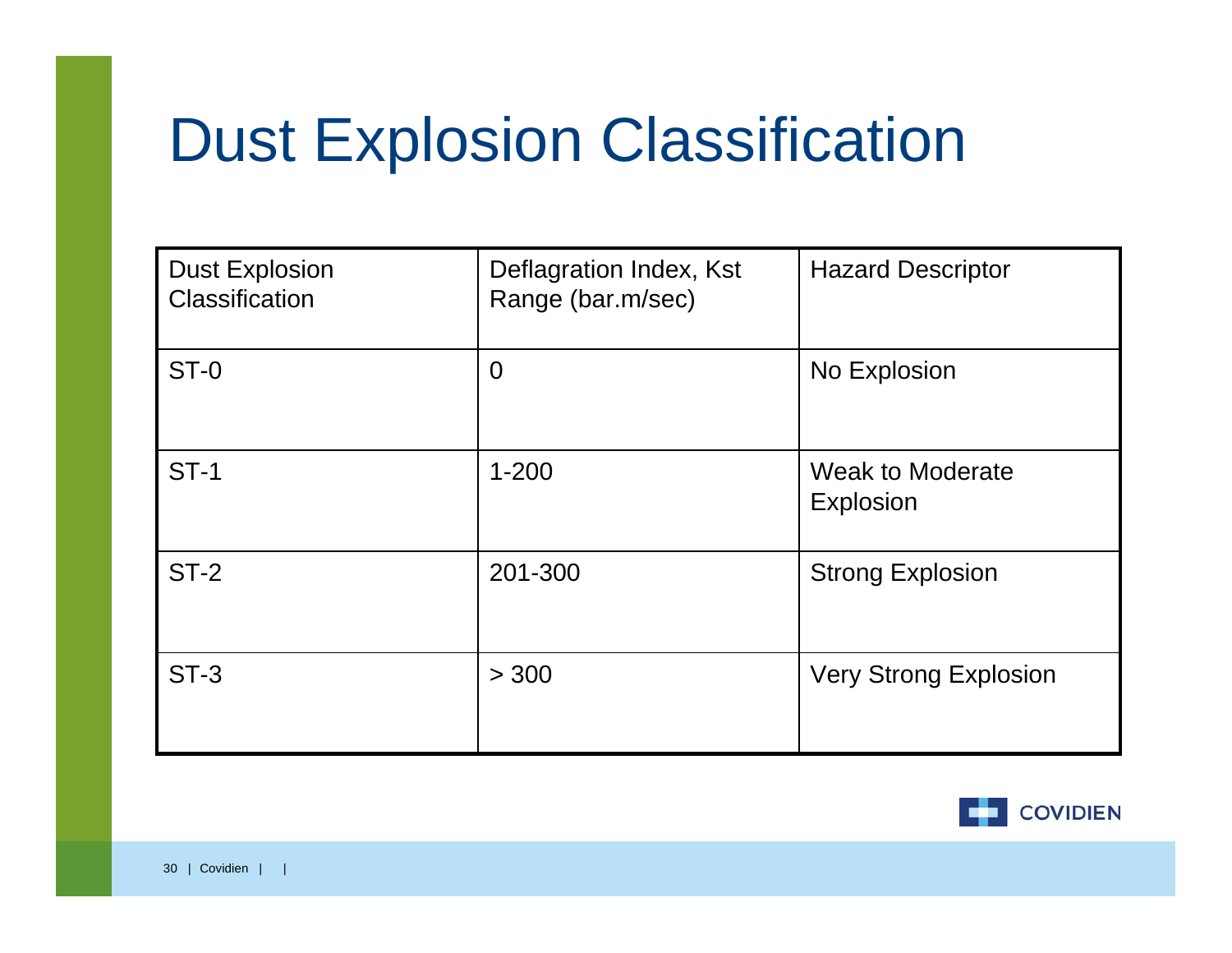# Dust Explosion Classification

| <b>Dust Explosion</b><br>Classification | Deflagration Index, Kst<br>Range (bar.m/sec) | <b>Hazard Descriptor</b>             |
|-----------------------------------------|----------------------------------------------|--------------------------------------|
| $ST-0$                                  | $\overline{0}$                               | No Explosion                         |
| <b>ST-1</b>                             | $1 - 200$                                    | <b>Weak to Moderate</b><br>Explosion |
| $ST-2$                                  | 201-300                                      | <b>Strong Explosion</b>              |
| $ST-3$                                  | > 300                                        | <b>Very Strong Explosion</b>         |

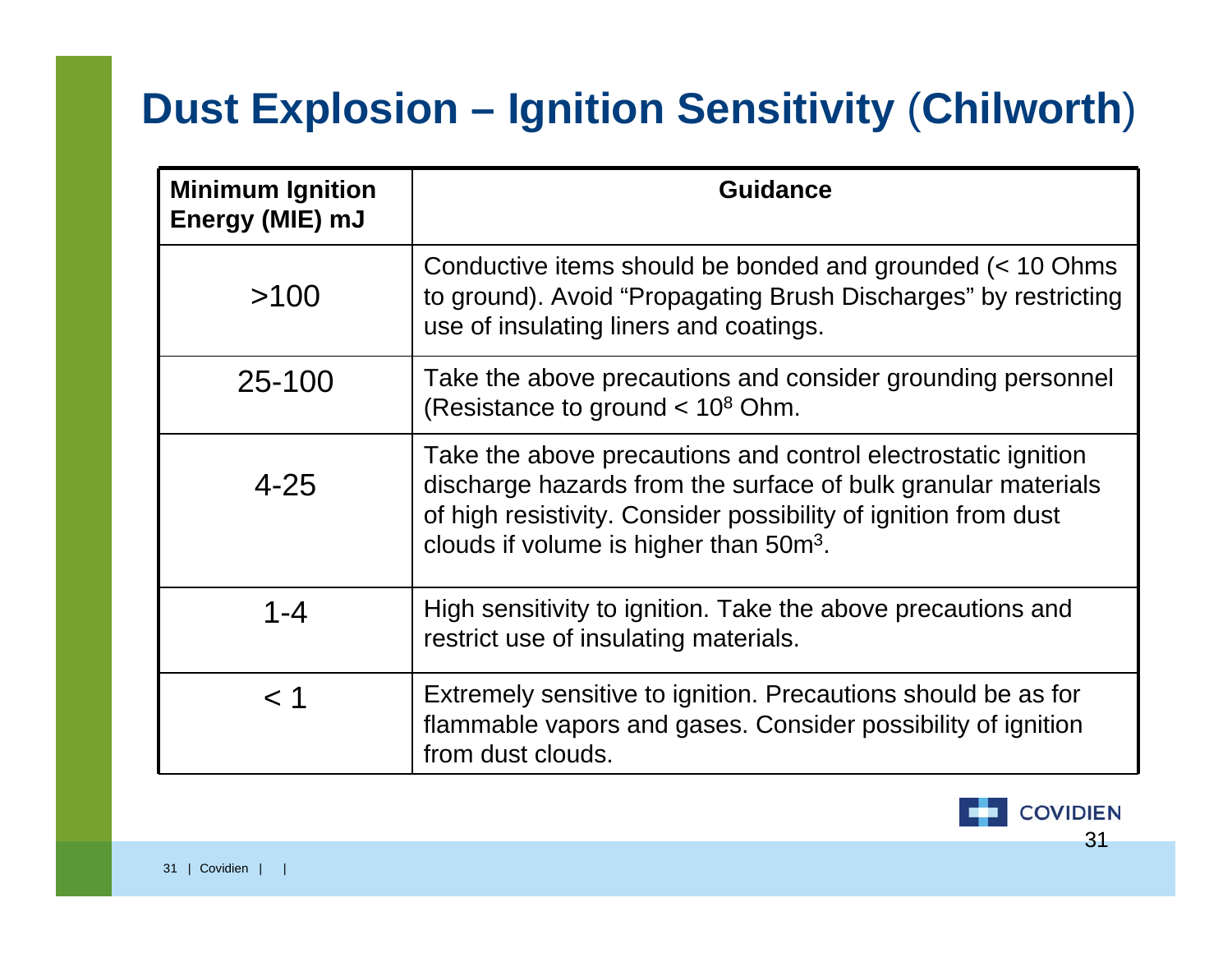#### **Dust Explosion – Ignition Sensitivity** (**Chilworth**)

| <b>Minimum Ignition</b><br>Energy (MIE) mJ | <b>Guidance</b>                                                                                                                                                                                                                                         |
|--------------------------------------------|---------------------------------------------------------------------------------------------------------------------------------------------------------------------------------------------------------------------------------------------------------|
| >100                                       | Conductive items should be bonded and grounded (< 10 Ohms<br>to ground). Avoid "Propagating Brush Discharges" by restricting<br>use of insulating liners and coatings.                                                                                  |
| 25-100                                     | Take the above precautions and consider grounding personnel<br>(Resistance to ground $< 10^8$ Ohm.                                                                                                                                                      |
| $4 - 25$                                   | Take the above precautions and control electrostatic ignition<br>discharge hazards from the surface of bulk granular materials<br>of high resistivity. Consider possibility of ignition from dust<br>clouds if volume is higher than 50m <sup>3</sup> . |
| 1-4                                        | High sensitivity to ignition. Take the above precautions and<br>restrict use of insulating materials.                                                                                                                                                   |
| < 1                                        | Extremely sensitive to ignition. Precautions should be as for<br>flammable vapors and gases. Consider possibility of ignition<br>from dust clouds.                                                                                                      |

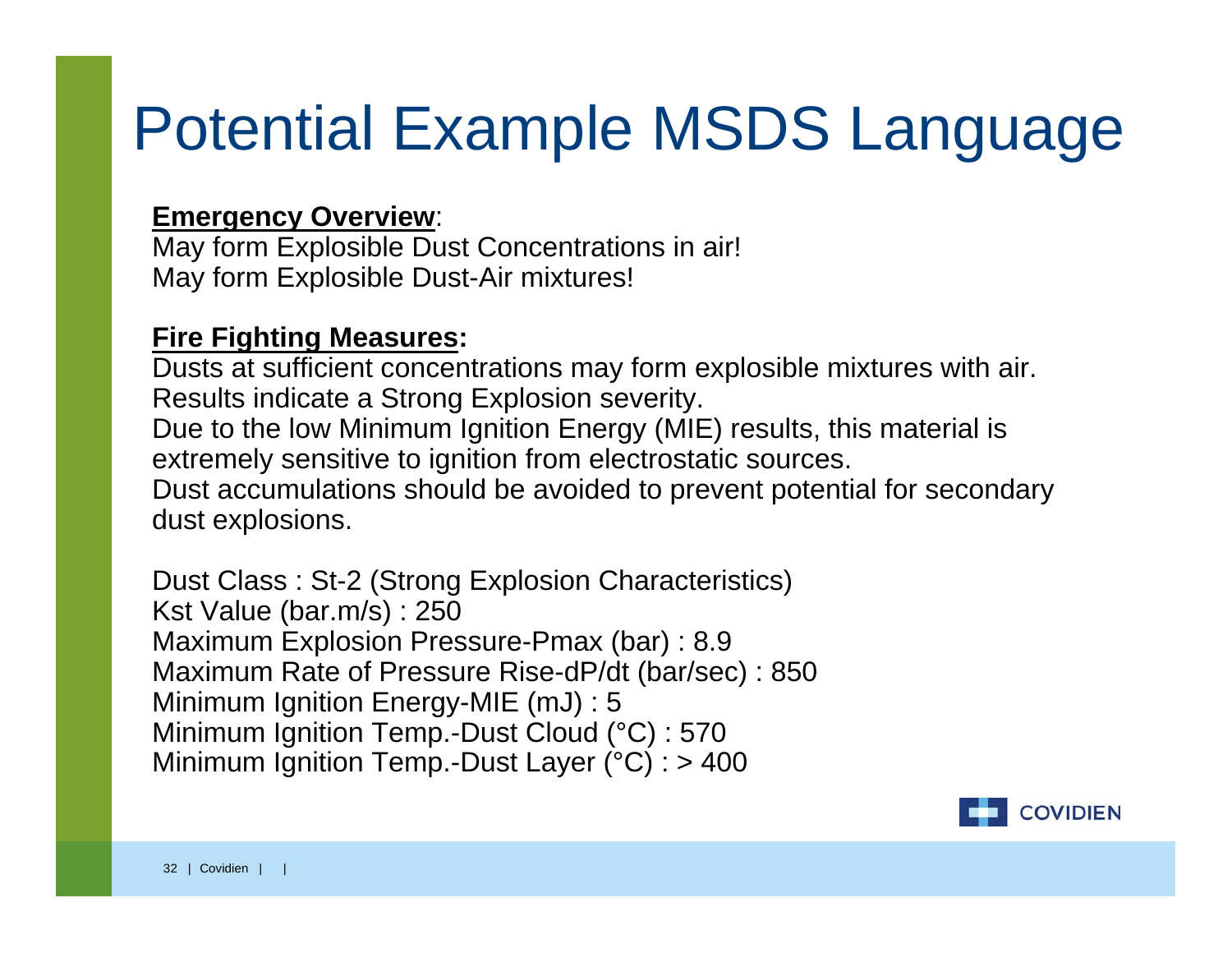#### Potential Example MSDS Language

#### **Emergency Overview**:

May form Explosible Dust Concentrations in air! May form Explosible Dust-Air mixtures!

#### **Fire Fighting Measures:**

Dusts at sufficient concentrations may form explosible mixtures with air. Results indicate a Strong Explosion severity. Due to the low Minimum Ignition Energy (MIE) results, this material is extremely sensitive to ignition from electrostatic sources. Dust accumulations should be avoided to prevent potential for secondary dust explosions.

Dust Class : St-2 (Strong Explosion Characteristics) Kst Value (bar.m/s) : 250 Maximum Explosion Pressure-Pmax (bar) : 8.9 Maximum Rate of Pressure Rise-dP/dt (bar/sec) : 850 Minimum Ignition Energy-MIE (mJ) : 5 Minimum Ignition Temp.-Dust Cloud (°C) : 570 Minimum Ignition Temp.-Dust Layer (°C) : > 400

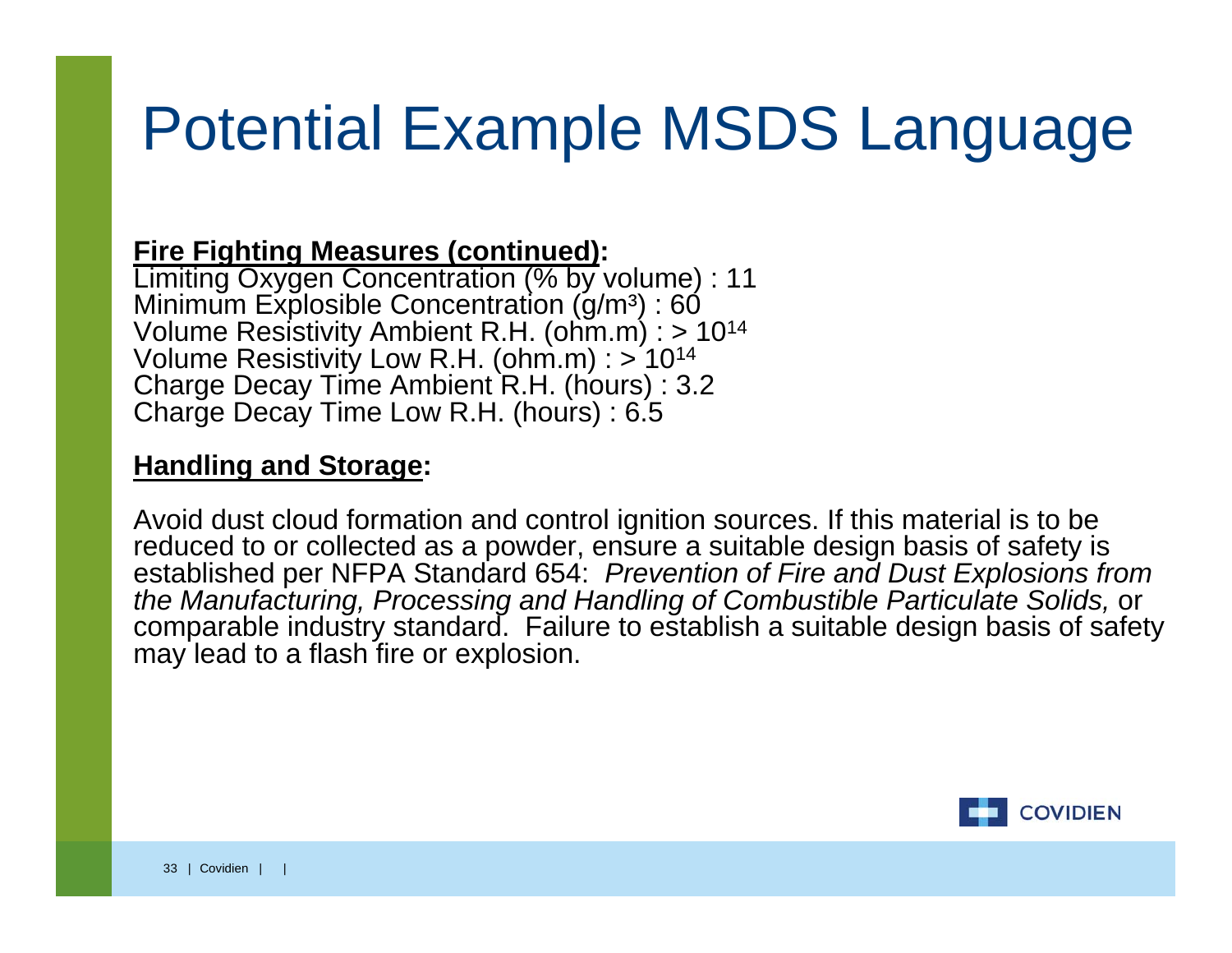#### Potential Example MSDS Language

#### **Fire Fighting Measures (continued):**

Limiting Oxygen Concentration (% by volume) : 11 Minimum Explosible Concentration (g/mª) : 60 Volume Resistivity Ambient R.H. (ohm.m) : > 1014 Volume Resistivity Low R.H. (ohm.m) : > 1014 Charge Decay Time Ambient R.H. (hours) : 3.2 Charge Decay Time Low R.H. (hours) : 6.5

#### **Handling and Storage:**

Avoid dust cloud formation and control ignition sources. If this material is to be reduced to or collected as a powder, ensure a suitable design basis of safety is established per NFPA Standard 654: *Prevention of Fire and Dust Explosions from the Manufacturing, Processing and Handling of Combustible Particulate Solids,* or comparable industry standard. Failure to establish a suitable design basis of safety may lead to a flash fire or explosion.

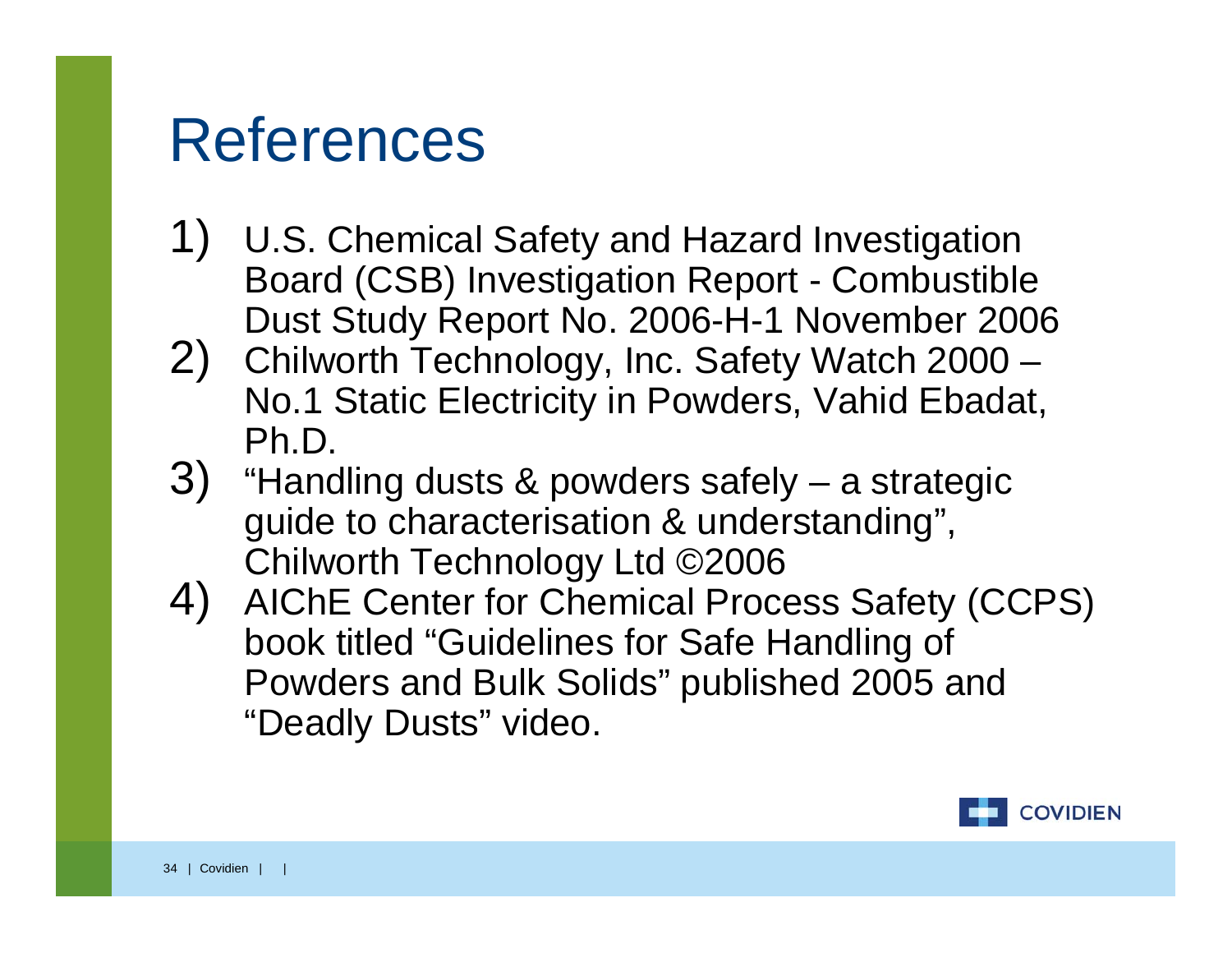#### References

- 1) U.S. Chemical Safety and Hazard Investigation Board (CSB) Investigation Report - Combustible
- Dust Study Report No. 2006-H-1 November 2006<br>2) Chilworth Technology, Inc. Safety Watch 2000 No.1 Static Electricity in Powders, Vahid Ebadat, Ph.D.
- 3) "Handling dusts & powders safely a strategic guide to characterisation & understanding",
- Chilworth Technology Ltd ©2006 4) AIChE Center for Chemical Process Safety (CCPS) book titled "Guidelines for Safe Handling of Powders and Bulk Solids" published 2005 and "Deadly Dusts" video.

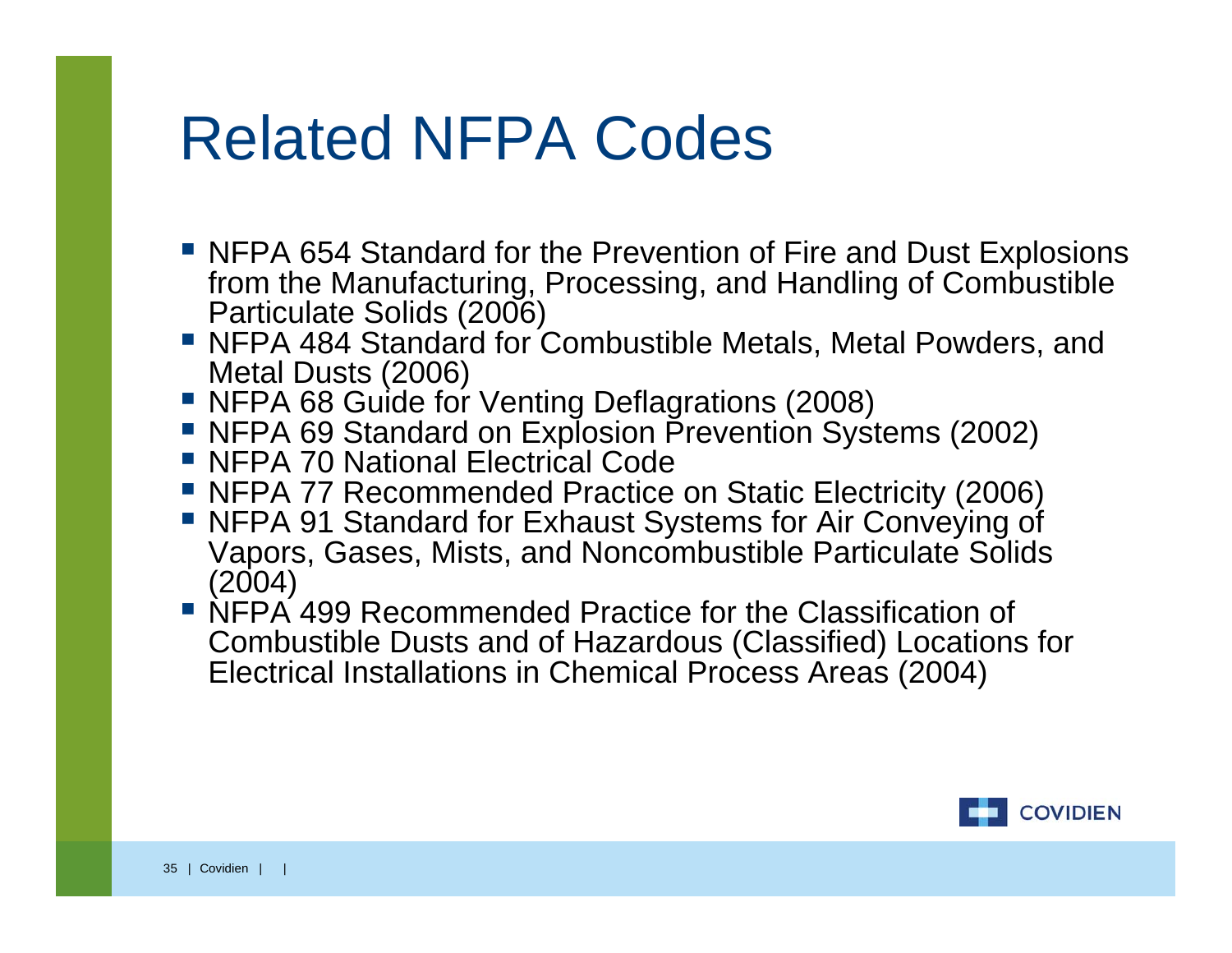#### Related NFPA Codes

- NFPA 654 Standard for the Prevention of Fire and Dust Explosions from the Manufacturing, Processing, and Handling of Combustible Particulate Solids (2006)
- NFPA 484 Standard for Combustible Metals, Metal Powders, and Metal Dusts (2006)
- NFPA 68 Guide for Venting Deflagrations (2008)
- NFPA 69 Standard on Explosion Prevention Systems (2002)
- **NFPA 70 National Electrical Code**
- NFPA 77 Recommended Practice on Static Electricity (2006)
- NFPA 91 Standard for Exhaust Systems for Air Conveying of Vapors, Gases, Mists, and Noncombustible Particulate Solids (2004)
- NFPA 499 Recommended Practice for the Classification of Combustible Dusts and of Hazardous (Classified) Locations for Electrical Installations in Chemical Process Areas (2004)